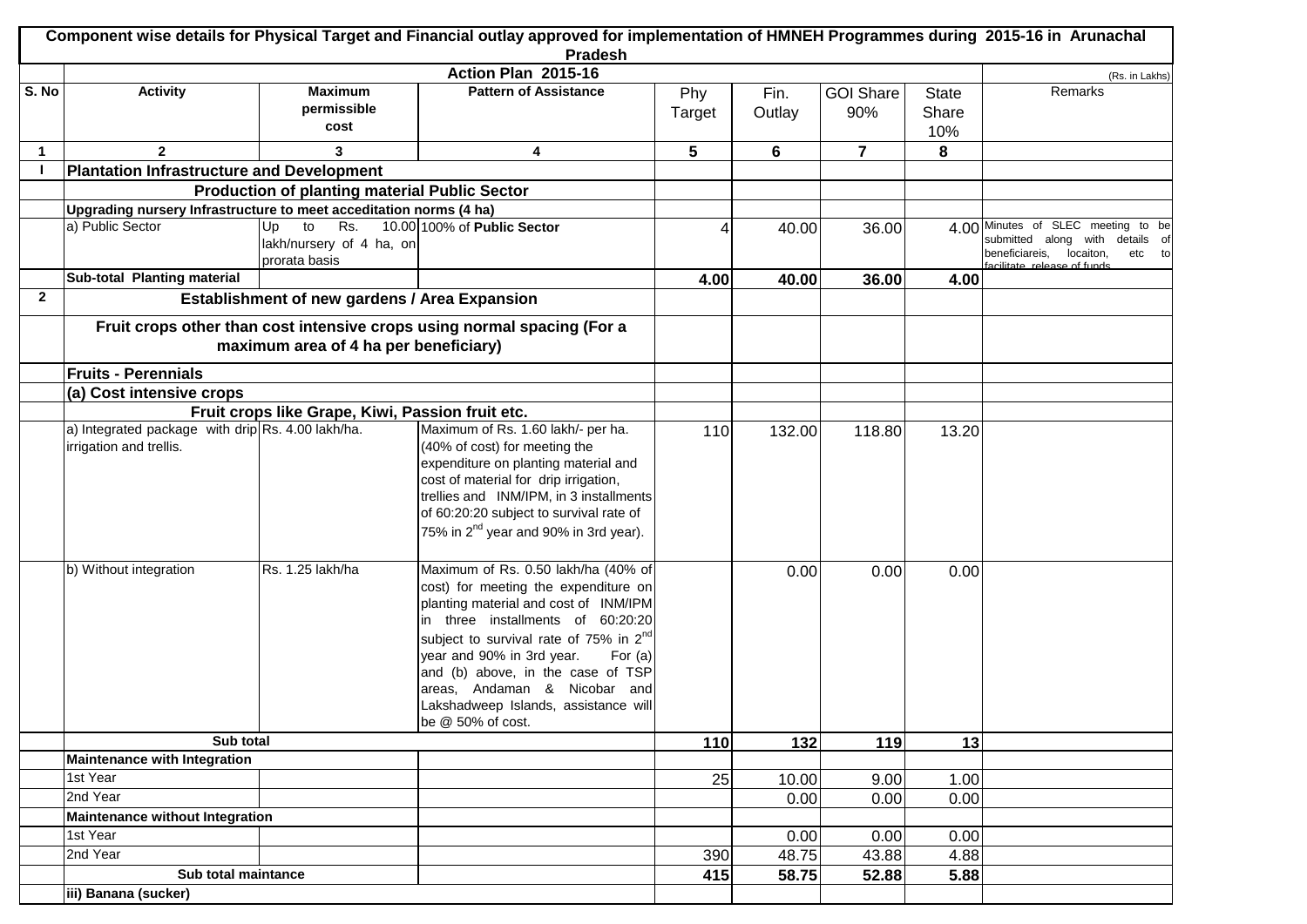|              | Component wise details for Physical Target and Financial outlay approved for implementation of HMNEH Programmes during 2015-16 in Arunachal<br>Pradesh |                                                              |                                                                                                                                                                                                                                                                                                                                                                                             |        |        |                  |              |                                                                                                                                                 |  |
|--------------|--------------------------------------------------------------------------------------------------------------------------------------------------------|--------------------------------------------------------------|---------------------------------------------------------------------------------------------------------------------------------------------------------------------------------------------------------------------------------------------------------------------------------------------------------------------------------------------------------------------------------------------|--------|--------|------------------|--------------|-------------------------------------------------------------------------------------------------------------------------------------------------|--|
|              |                                                                                                                                                        |                                                              | Action Plan 2015-16                                                                                                                                                                                                                                                                                                                                                                         |        |        |                  |              |                                                                                                                                                 |  |
| S. No        | <b>Activity</b>                                                                                                                                        | <b>Maximum</b>                                               | <b>Pattern of Assistance</b>                                                                                                                                                                                                                                                                                                                                                                | Phy    | Fin.   | <b>GOI Share</b> | <b>State</b> | (Rs. in Lakhs)<br>Remarks                                                                                                                       |  |
|              |                                                                                                                                                        | permissible<br>cost                                          |                                                                                                                                                                                                                                                                                                                                                                                             | Target | Outlay | 90%              | Share<br>10% |                                                                                                                                                 |  |
| -1           | $\mathbf{2}$                                                                                                                                           | 3                                                            | 4                                                                                                                                                                                                                                                                                                                                                                                           | 5      | 6      | $\overline{7}$   | 8            |                                                                                                                                                 |  |
|              | <b>Plantation Infrastructure and Development</b>                                                                                                       |                                                              |                                                                                                                                                                                                                                                                                                                                                                                             |        |        |                  |              |                                                                                                                                                 |  |
|              |                                                                                                                                                        | <b>Production of planting material Public Sector</b>         |                                                                                                                                                                                                                                                                                                                                                                                             |        |        |                  |              |                                                                                                                                                 |  |
|              | Upgrading nursery Infrastructure to meet acceditation norms (4 ha)                                                                                     |                                                              |                                                                                                                                                                                                                                                                                                                                                                                             |        |        |                  |              |                                                                                                                                                 |  |
|              | a) Public Sector                                                                                                                                       | to<br>Rs.<br>Up<br>lakh/nursery of 4 ha, on<br>prorata basis | 10.00 100% of Public Sector                                                                                                                                                                                                                                                                                                                                                                 | 4      | 40.00  | 36.00            |              | SLEC meeting to be<br>4.00 Minutes of<br>submitted along with details of<br>etc to<br>beneficiareis,<br>locaiton,<br>acilitate release of funds |  |
|              | <b>Sub-total Planting material</b>                                                                                                                     |                                                              |                                                                                                                                                                                                                                                                                                                                                                                             | 4.00   | 40.00  | 36.00            | 4.00         |                                                                                                                                                 |  |
| $\mathbf{2}$ |                                                                                                                                                        | <b>Establishment of new gardens / Area Expansion</b>         |                                                                                                                                                                                                                                                                                                                                                                                             |        |        |                  |              |                                                                                                                                                 |  |
|              | Fruit crops other than cost intensive crops using normal spacing (For a<br>maximum area of 4 ha per beneficiary)<br><b>Fruits - Perennials</b>         |                                                              |                                                                                                                                                                                                                                                                                                                                                                                             |        |        |                  |              |                                                                                                                                                 |  |
|              |                                                                                                                                                        |                                                              |                                                                                                                                                                                                                                                                                                                                                                                             |        |        |                  |              |                                                                                                                                                 |  |
|              | (a) Cost intensive crops                                                                                                                               |                                                              |                                                                                                                                                                                                                                                                                                                                                                                             |        |        |                  |              |                                                                                                                                                 |  |
|              | Fruit crops like Grape, Kiwi, Passion fruit etc.<br>a) Integrated package with drip Rs. 4.00 lakh/ha.<br>Maximum of Rs. 1.60 lakh/- per ha.            |                                                              |                                                                                                                                                                                                                                                                                                                                                                                             |        |        |                  |              |                                                                                                                                                 |  |
|              | irrigation and trellis.                                                                                                                                |                                                              | (40% of cost) for meeting the<br>expenditure on planting material and<br>cost of material for drip irrigation,<br>trellies and INM/IPM, in 3 installments<br>of 60:20:20 subject to survival rate of<br>75% in 2 <sup>nd</sup> year and 90% in 3rd year).                                                                                                                                   | 110    | 132.00 | 118.80           | 13.20        |                                                                                                                                                 |  |
|              | b) Without integration                                                                                                                                 | Rs. 1.25 lakh/ha                                             | Maximum of Rs. 0.50 lakh/ha (40% of<br>cost) for meeting the expenditure on<br>planting material and cost of INM/IPM<br>in three installments of 60:20:20<br>subject to survival rate of 75% in 2 <sup>nd</sup><br>year and 90% in 3rd year.<br>For $(a)$<br>and (b) above, in the case of TSP<br>areas, Andaman & Nicobar and<br>Lakshadweep Islands, assistance will<br>be @ 50% of cost. |        | 0.00   | 0.00             | 0.00         |                                                                                                                                                 |  |
|              | Sub total                                                                                                                                              |                                                              |                                                                                                                                                                                                                                                                                                                                                                                             | 110    | 132    | 119              | 13           |                                                                                                                                                 |  |
|              | <b>Maintenance with Integration</b>                                                                                                                    |                                                              |                                                                                                                                                                                                                                                                                                                                                                                             |        |        |                  |              |                                                                                                                                                 |  |
|              | 1st Year                                                                                                                                               |                                                              |                                                                                                                                                                                                                                                                                                                                                                                             | 25     | 10.00  | 9.00             | 1.00         |                                                                                                                                                 |  |
|              | 2nd Year                                                                                                                                               |                                                              |                                                                                                                                                                                                                                                                                                                                                                                             |        | 0.00   | 0.00             | 0.00         |                                                                                                                                                 |  |
|              | <b>Maintenance without Integration</b>                                                                                                                 |                                                              |                                                                                                                                                                                                                                                                                                                                                                                             |        |        |                  |              |                                                                                                                                                 |  |
|              | 1st Year                                                                                                                                               |                                                              |                                                                                                                                                                                                                                                                                                                                                                                             |        | 0.00   | 0.00             | 0.00         |                                                                                                                                                 |  |
|              | 2nd Year                                                                                                                                               |                                                              |                                                                                                                                                                                                                                                                                                                                                                                             | 390    | 48.75  | 43.88            | 4.88         |                                                                                                                                                 |  |
|              | Sub total maintance<br>iii) Banana (sucker)                                                                                                            |                                                              |                                                                                                                                                                                                                                                                                                                                                                                             | 415    | 58.75  | 52.88            | 5.88         |                                                                                                                                                 |  |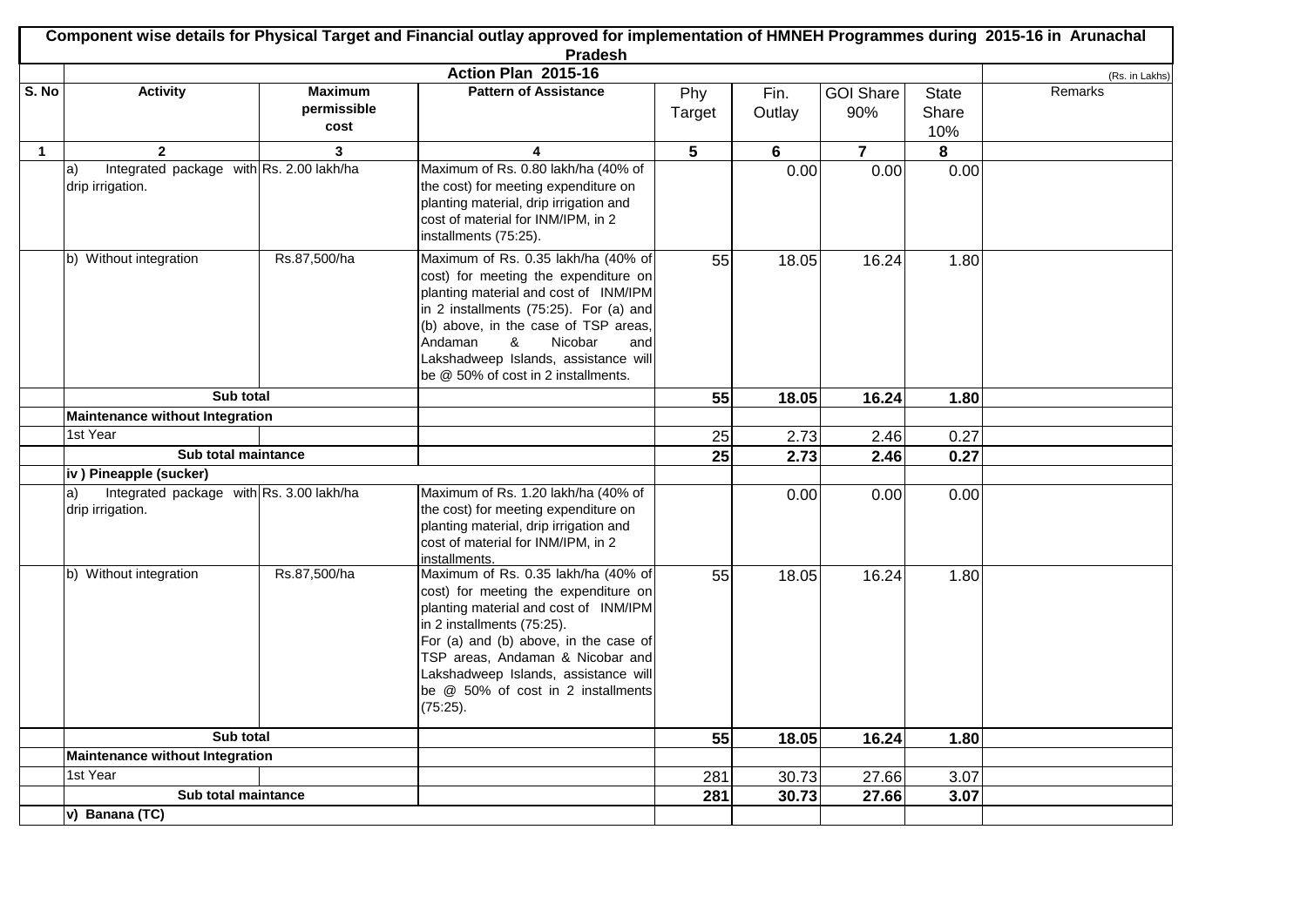|              | Component wise details for Physical Target and Financial outlay approved for implementation of HMNEH Programmes during 2015-16 in Arunachal<br><b>Pradesh</b> |                |                                                                                                                                                                                                                                                                                                                           |                 |                |                  |              |                |  |
|--------------|---------------------------------------------------------------------------------------------------------------------------------------------------------------|----------------|---------------------------------------------------------------------------------------------------------------------------------------------------------------------------------------------------------------------------------------------------------------------------------------------------------------------------|-----------------|----------------|------------------|--------------|----------------|--|
|              |                                                                                                                                                               |                | Action Plan 2015-16                                                                                                                                                                                                                                                                                                       |                 |                |                  |              | (Rs. in Lakhs) |  |
| S. No        | <b>Activity</b>                                                                                                                                               | <b>Maximum</b> | <b>Pattern of Assistance</b>                                                                                                                                                                                                                                                                                              | Phy             | Fin.           | <b>GOI Share</b> | <b>State</b> | Remarks        |  |
|              |                                                                                                                                                               | permissible    |                                                                                                                                                                                                                                                                                                                           | Target          | Outlay         | 90%              | Share        |                |  |
|              |                                                                                                                                                               | cost           |                                                                                                                                                                                                                                                                                                                           |                 |                |                  | 10%          |                |  |
| $\mathbf{1}$ | $\overline{2}$                                                                                                                                                | 3              | 4                                                                                                                                                                                                                                                                                                                         | $5\phantom{.0}$ | $6\phantom{1}$ | $\overline{7}$   | 8            |                |  |
|              | Integrated package with Rs. 2.00 lakh/ha<br>a)<br>drip irrigation.                                                                                            |                | Maximum of Rs. 0.80 lakh/ha (40% of<br>the cost) for meeting expenditure on<br>planting material, drip irrigation and<br>cost of material for INM/IPM, in 2<br>installments (75:25).                                                                                                                                      |                 | 0.00           | 0.00             | 0.00         |                |  |
|              | b) Without integration                                                                                                                                        | Rs.87,500/ha   | Maximum of Rs. 0.35 lakh/ha (40% of<br>cost) for meeting the expenditure on<br>planting material and cost of INM/IPM<br>in 2 installments (75:25). For (a) and<br>(b) above, in the case of TSP areas,<br>Andaman<br>&<br>Nicobar<br>and<br>Lakshadweep Islands, assistance will<br>be @ 50% of cost in 2 installments.   | 55              | 18.05          | 16.24            | 1.80         |                |  |
|              | Sub total                                                                                                                                                     |                |                                                                                                                                                                                                                                                                                                                           | 55              | 18.05          | 16.24            | 1.80         |                |  |
|              | Maintenance without Integration                                                                                                                               |                |                                                                                                                                                                                                                                                                                                                           |                 |                |                  |              |                |  |
|              | 1st Year                                                                                                                                                      |                |                                                                                                                                                                                                                                                                                                                           | 25              | 2.73           | 2.46             | 0.27         |                |  |
|              | Sub total maintance                                                                                                                                           |                |                                                                                                                                                                                                                                                                                                                           | 25              | 2.73           | 2.46             | 0.27         |                |  |
|              | iv) Pineapple (sucker)                                                                                                                                        |                |                                                                                                                                                                                                                                                                                                                           |                 |                |                  |              |                |  |
|              | Integrated package with Rs. 3.00 lakh/ha<br>a)<br>drip irrigation.                                                                                            |                | Maximum of Rs. 1.20 lakh/ha (40% of<br>the cost) for meeting expenditure on<br>planting material, drip irrigation and<br>cost of material for INM/IPM, in 2<br>installments.                                                                                                                                              |                 | 0.00           | 0.00             | 0.00         |                |  |
|              | b) Without integration                                                                                                                                        | Rs.87,500/ha   | Maximum of Rs. 0.35 lakh/ha (40% of<br>cost) for meeting the expenditure on<br>planting material and cost of INM/IPM<br>in 2 installments (75:25).<br>For (a) and (b) above, in the case of<br>TSP areas, Andaman & Nicobar and<br>Lakshadweep Islands, assistance will<br>be @ 50% of cost in 2 installments<br>(75:25). | 55              | 18.05          | 16.24            | 1.80         |                |  |
|              | Sub total                                                                                                                                                     |                |                                                                                                                                                                                                                                                                                                                           | 55              | 18.05          | 16.24            | 1.80         |                |  |
|              | <b>Maintenance without Integration</b>                                                                                                                        |                |                                                                                                                                                                                                                                                                                                                           |                 |                |                  |              |                |  |
|              | 1st Year                                                                                                                                                      |                |                                                                                                                                                                                                                                                                                                                           | 281             | 30.73          | 27.66            | 3.07         |                |  |
|              | Sub total maintance                                                                                                                                           |                |                                                                                                                                                                                                                                                                                                                           | 281             | 30.73          | 27.66            | 3.07         |                |  |
|              | v) Banana (TC)                                                                                                                                                |                |                                                                                                                                                                                                                                                                                                                           |                 |                |                  |              |                |  |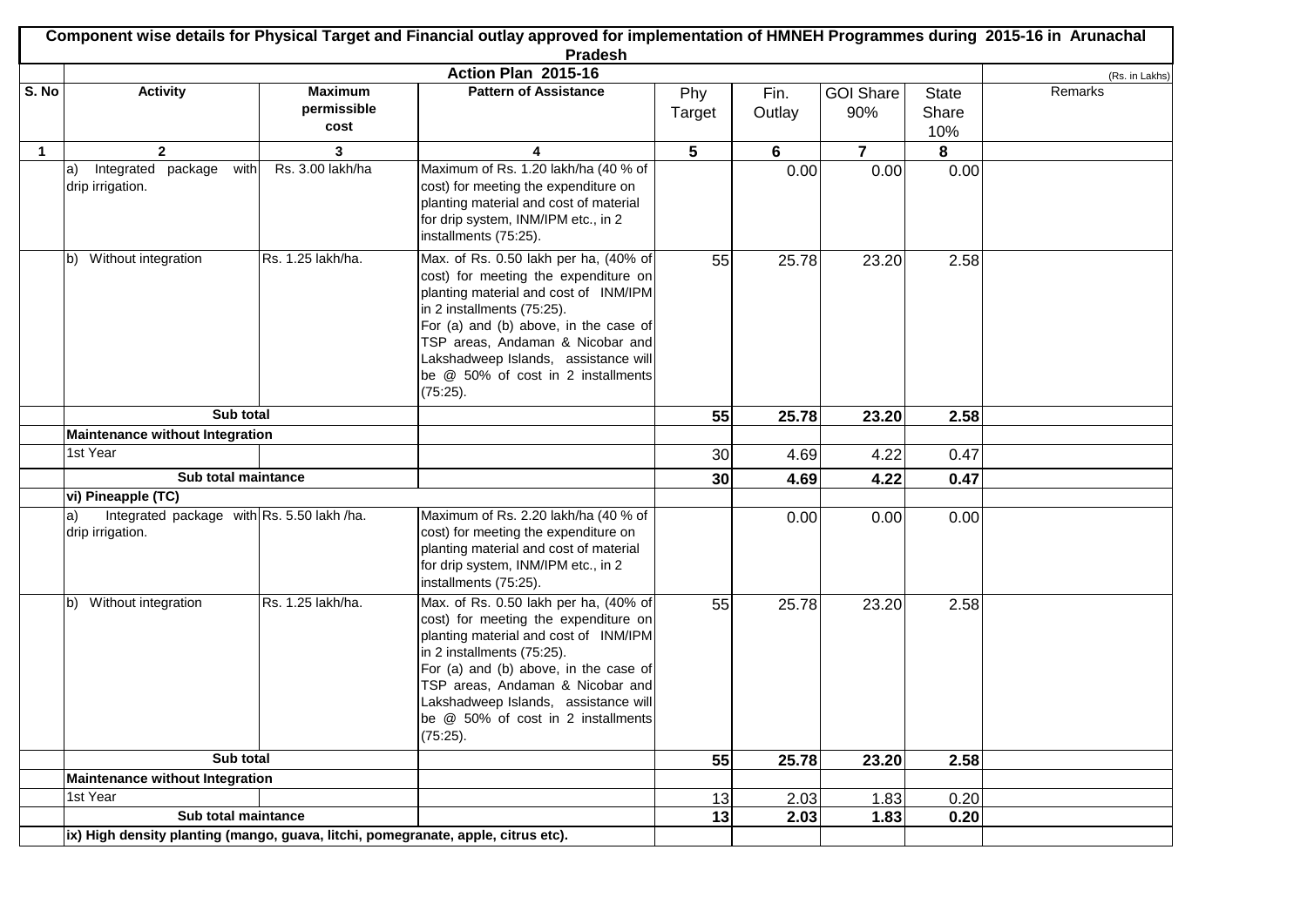|              | Component wise details for Physical Target and Financial outlay approved for implementation of HMNEH Programmes during 2015-16 in Arunachal<br><b>Pradesh</b> |                                                                                   |                                                                                                                                                                                                                                                                                                                             |        |        |                         |              |                |  |
|--------------|---------------------------------------------------------------------------------------------------------------------------------------------------------------|-----------------------------------------------------------------------------------|-----------------------------------------------------------------------------------------------------------------------------------------------------------------------------------------------------------------------------------------------------------------------------------------------------------------------------|--------|--------|-------------------------|--------------|----------------|--|
|              |                                                                                                                                                               |                                                                                   | Action Plan 2015-16                                                                                                                                                                                                                                                                                                         |        |        |                         |              | (Rs. in Lakhs) |  |
| S. No        | <b>Activity</b>                                                                                                                                               | <b>Maximum</b>                                                                    | <b>Pattern of Assistance</b>                                                                                                                                                                                                                                                                                                | Phy    | Fin.   | <b>GOI Share</b>        | <b>State</b> | Remarks        |  |
|              |                                                                                                                                                               | permissible                                                                       |                                                                                                                                                                                                                                                                                                                             | Target | Outlay | 90%                     | Share        |                |  |
|              |                                                                                                                                                               | cost                                                                              |                                                                                                                                                                                                                                                                                                                             |        |        |                         | 10%          |                |  |
| $\mathbf{1}$ | $\mathbf{2}$                                                                                                                                                  | 3                                                                                 | 4                                                                                                                                                                                                                                                                                                                           | 5      | 6      | $\overline{\mathbf{r}}$ | 8            |                |  |
|              | Integrated package<br>with<br> a)<br>drip irrigation.                                                                                                         | Rs. 3.00 lakh/ha                                                                  | Maximum of Rs. 1.20 lakh/ha (40 % of<br>cost) for meeting the expenditure on<br>planting material and cost of material<br>for drip system, INM/IPM etc., in 2<br>installments (75:25).                                                                                                                                      |        | 0.00   | 0.00                    | 0.00         |                |  |
|              | Without integration<br>lb)                                                                                                                                    | Rs. 1.25 lakh/ha.                                                                 | Max. of Rs. 0.50 lakh per ha, (40% of<br>cost) for meeting the expenditure on<br>planting material and cost of INM/IPM<br>in 2 installments (75:25).<br>For (a) and (b) above, in the case of<br>TSP areas, Andaman & Nicobar and<br>Lakshadweep Islands, assistance will<br>be @ 50% of cost in 2 installments<br>(75:25). | 55     | 25.78  | 23.20                   | 2.58         |                |  |
|              | Sub total                                                                                                                                                     |                                                                                   |                                                                                                                                                                                                                                                                                                                             | 55     | 25.78  | 23.20                   | 2.58         |                |  |
|              | <b>Maintenance without Integration</b>                                                                                                                        |                                                                                   |                                                                                                                                                                                                                                                                                                                             |        |        |                         |              |                |  |
|              | 1st Year                                                                                                                                                      |                                                                                   |                                                                                                                                                                                                                                                                                                                             | 30     | 4.69   | 4.22                    | 0.47         |                |  |
|              | Sub total maintance                                                                                                                                           |                                                                                   |                                                                                                                                                                                                                                                                                                                             | 30     | 4.69   | 4.22                    | 0.47         |                |  |
|              | vi) Pineapple (TC)                                                                                                                                            |                                                                                   |                                                                                                                                                                                                                                                                                                                             |        |        |                         |              |                |  |
|              | Integrated package with Rs. 5.50 lakh /ha.<br>a)<br>drip irrigation.                                                                                          |                                                                                   | Maximum of Rs. 2.20 lakh/ha (40 % of<br>cost) for meeting the expenditure on<br>planting material and cost of material<br>for drip system, INM/IPM etc., in 2<br>installments (75:25).                                                                                                                                      |        | 0.00   | 0.00                    | 0.00         |                |  |
|              | b) Without integration                                                                                                                                        | Rs. 1.25 lakh/ha.                                                                 | Max. of Rs. 0.50 lakh per ha, (40% of<br>cost) for meeting the expenditure on<br>planting material and cost of INM/IPM<br>in 2 installments (75:25).<br>For (a) and (b) above, in the case of<br>TSP areas, Andaman & Nicobar and<br>Lakshadweep Islands, assistance will<br>be @ 50% of cost in 2 installments<br>(75:25). | 55     | 25.78  | 23.20                   | 2.58         |                |  |
|              | Sub total                                                                                                                                                     |                                                                                   |                                                                                                                                                                                                                                                                                                                             | 55     | 25.78  | 23.20                   | 2.58         |                |  |
|              | Maintenance without Integration                                                                                                                               |                                                                                   |                                                                                                                                                                                                                                                                                                                             |        |        |                         |              |                |  |
|              | 1st Year                                                                                                                                                      |                                                                                   |                                                                                                                                                                                                                                                                                                                             | 13     | 2.03   | 1.83                    | 0.20         |                |  |
|              | Sub total maintance                                                                                                                                           |                                                                                   |                                                                                                                                                                                                                                                                                                                             | 13     | 2.03   | 1.83                    | 0.20         |                |  |
|              |                                                                                                                                                               | ix) High density planting (mango, guava, litchi, pomegranate, apple, citrus etc). |                                                                                                                                                                                                                                                                                                                             |        |        |                         |              |                |  |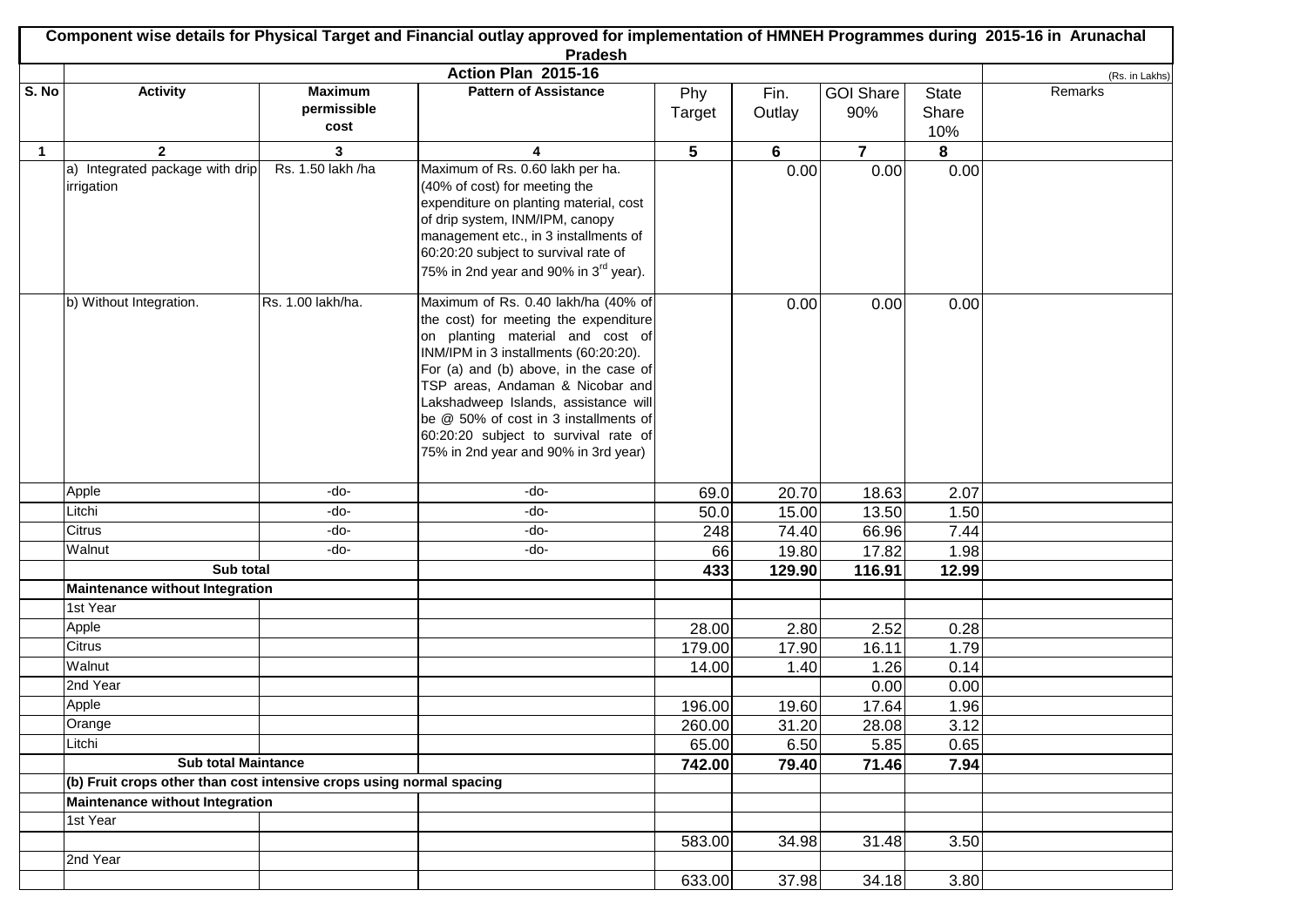| Component wise details for Physical Target and Financial outlay approved for implementation of HMNEH Programmes during 2015-16 in Arunachal |                                                                      |                               |                                                                                                                                                                                                                                                                                                                                                                                                         |        |           |                  |              |                |
|---------------------------------------------------------------------------------------------------------------------------------------------|----------------------------------------------------------------------|-------------------------------|---------------------------------------------------------------------------------------------------------------------------------------------------------------------------------------------------------------------------------------------------------------------------------------------------------------------------------------------------------------------------------------------------------|--------|-----------|------------------|--------------|----------------|
| <b>Pradesh</b>                                                                                                                              |                                                                      |                               |                                                                                                                                                                                                                                                                                                                                                                                                         |        |           |                  |              |                |
|                                                                                                                                             |                                                                      |                               | Action Plan 2015-16                                                                                                                                                                                                                                                                                                                                                                                     |        |           |                  |              | (Rs. in Lakhs) |
| S. No                                                                                                                                       | <b>Activity</b>                                                      | <b>Maximum</b><br>permissible | <b>Pattern of Assistance</b>                                                                                                                                                                                                                                                                                                                                                                            | Phy    | Fin.      | <b>GOI Share</b> | <b>State</b> | Remarks        |
|                                                                                                                                             |                                                                      | cost                          |                                                                                                                                                                                                                                                                                                                                                                                                         | Target | Outlay    | 90%              | Share        |                |
|                                                                                                                                             |                                                                      |                               |                                                                                                                                                                                                                                                                                                                                                                                                         |        |           |                  | 10%          |                |
| $\mathbf{1}$                                                                                                                                | $\overline{2}$<br>a) Integrated package with drip                    | 3<br>Rs. 1.50 lakh /ha        | 4<br>Maximum of Rs. 0.60 lakh per ha.                                                                                                                                                                                                                                                                                                                                                                   | 5      | 6<br>0.00 | $\overline{7}$   | 8<br>0.00    |                |
|                                                                                                                                             | irrigation                                                           |                               | (40% of cost) for meeting the<br>expenditure on planting material, cost<br>of drip system, INM/IPM, canopy<br>management etc., in 3 installments of<br>60:20:20 subject to survival rate of<br>75% in 2nd year and 90% in 3 <sup>rd</sup> year).                                                                                                                                                        |        |           | 0.00             |              |                |
|                                                                                                                                             | b) Without Integration.                                              | Rs. 1.00 lakh/ha.             | Maximum of Rs. 0.40 lakh/ha (40% of<br>the cost) for meeting the expenditure<br>on planting material and cost of<br>INM/IPM in 3 installments (60:20:20).<br>For (a) and (b) above, in the case of<br>TSP areas, Andaman & Nicobar and<br>Lakshadweep Islands, assistance will<br>be @ 50% of cost in 3 installments of<br>60:20:20 subject to survival rate of<br>75% in 2nd year and 90% in 3rd year) |        | 0.00      | 0.00             | 0.00         |                |
|                                                                                                                                             | Apple                                                                | -do-                          | -do-                                                                                                                                                                                                                                                                                                                                                                                                    | 69.0   | 20.70     | 18.63            | 2.07         |                |
|                                                                                                                                             | Litchi                                                               | -do-                          | -do-                                                                                                                                                                                                                                                                                                                                                                                                    | 50.0   | 15.00     | 13.50            | 1.50         |                |
|                                                                                                                                             | Citrus                                                               | -do-                          | -do-                                                                                                                                                                                                                                                                                                                                                                                                    | 248    | 74.40     | 66.96            | 7.44         |                |
|                                                                                                                                             | Walnut                                                               | -do-                          | -do-                                                                                                                                                                                                                                                                                                                                                                                                    | 66     | 19.80     | 17.82            | 1.98         |                |
|                                                                                                                                             | Sub total                                                            |                               |                                                                                                                                                                                                                                                                                                                                                                                                         | 433    | 129.90    | 116.91           | 12.99        |                |
|                                                                                                                                             | <b>Maintenance without Integration</b>                               |                               |                                                                                                                                                                                                                                                                                                                                                                                                         |        |           |                  |              |                |
|                                                                                                                                             | 1st Year                                                             |                               |                                                                                                                                                                                                                                                                                                                                                                                                         |        |           |                  |              |                |
|                                                                                                                                             | Apple                                                                |                               |                                                                                                                                                                                                                                                                                                                                                                                                         | 28.00  | 2.80      | 2.52             | 0.28         |                |
|                                                                                                                                             | Citrus                                                               |                               |                                                                                                                                                                                                                                                                                                                                                                                                         | 179.00 | 17.90     | 16.11            | 1.79         |                |
|                                                                                                                                             | Walnut                                                               |                               |                                                                                                                                                                                                                                                                                                                                                                                                         | 14.00  | 1.40      | 1.26             | 0.14         |                |
|                                                                                                                                             | 2nd Year                                                             |                               |                                                                                                                                                                                                                                                                                                                                                                                                         |        |           | 0.00             | 0.00         |                |
|                                                                                                                                             | Apple                                                                |                               |                                                                                                                                                                                                                                                                                                                                                                                                         | 196.00 | 19.60     | 17.64            | 1.96         |                |
|                                                                                                                                             | Orange                                                               |                               |                                                                                                                                                                                                                                                                                                                                                                                                         | 260.00 | 31.20     | 28.08            | 3.12         |                |
|                                                                                                                                             | Litchi                                                               |                               |                                                                                                                                                                                                                                                                                                                                                                                                         | 65.00  | 6.50      | 5.85             | 0.65         |                |
|                                                                                                                                             | <b>Sub total Maintance</b>                                           |                               |                                                                                                                                                                                                                                                                                                                                                                                                         | 742.00 | 79.40     | 71.46            | 7.94         |                |
|                                                                                                                                             | (b) Fruit crops other than cost intensive crops using normal spacing |                               |                                                                                                                                                                                                                                                                                                                                                                                                         |        |           |                  |              |                |
|                                                                                                                                             | <b>Maintenance without Integration</b>                               |                               |                                                                                                                                                                                                                                                                                                                                                                                                         |        |           |                  |              |                |
|                                                                                                                                             | 1st Year                                                             |                               |                                                                                                                                                                                                                                                                                                                                                                                                         |        |           |                  |              |                |
|                                                                                                                                             |                                                                      |                               |                                                                                                                                                                                                                                                                                                                                                                                                         | 583.00 | 34.98     | 31.48            | 3.50         |                |
|                                                                                                                                             | 2nd Year                                                             |                               |                                                                                                                                                                                                                                                                                                                                                                                                         |        |           |                  |              |                |
|                                                                                                                                             |                                                                      |                               |                                                                                                                                                                                                                                                                                                                                                                                                         | 633.00 | 37.98     | 34.18            | 3.80         |                |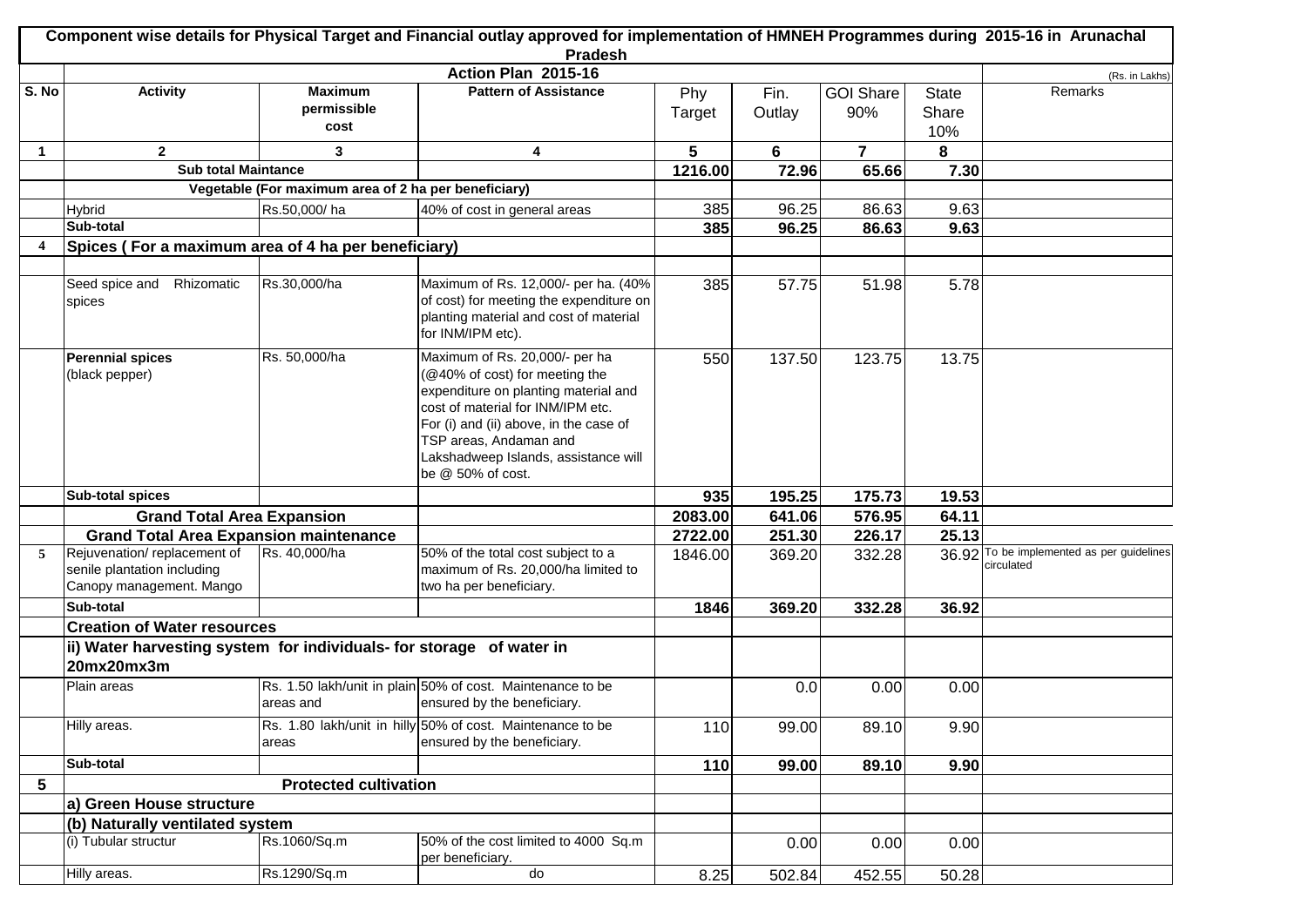| Component wise details for Physical Target and Financial outlay approved for implementation of HMNEH Programmes during 2015-16 in Arunachal |                                                                                        |                                                      |                                                                                                                                                                                                                                                                               |         |        |                  |              |                                                         |
|---------------------------------------------------------------------------------------------------------------------------------------------|----------------------------------------------------------------------------------------|------------------------------------------------------|-------------------------------------------------------------------------------------------------------------------------------------------------------------------------------------------------------------------------------------------------------------------------------|---------|--------|------------------|--------------|---------------------------------------------------------|
|                                                                                                                                             |                                                                                        |                                                      | <b>Pradesh</b>                                                                                                                                                                                                                                                                |         |        |                  |              |                                                         |
|                                                                                                                                             |                                                                                        |                                                      | Action Plan 2015-16                                                                                                                                                                                                                                                           |         |        |                  |              | (Rs. in Lakhs)                                          |
| S. No                                                                                                                                       | <b>Activity</b>                                                                        | <b>Maximum</b>                                       | <b>Pattern of Assistance</b>                                                                                                                                                                                                                                                  | Phy     | Fin.   | <b>GOI Share</b> | <b>State</b> | Remarks                                                 |
|                                                                                                                                             |                                                                                        | permissible<br>cost                                  |                                                                                                                                                                                                                                                                               | Target  | Outlay | 90%              | Share        |                                                         |
|                                                                                                                                             |                                                                                        |                                                      |                                                                                                                                                                                                                                                                               |         |        |                  | 10%          |                                                         |
| $\mathbf{1}$                                                                                                                                | $\overline{2}$                                                                         | 3                                                    | $\overline{\mathbf{4}}$                                                                                                                                                                                                                                                       | 5       | 6      | $\overline{7}$   | 8            |                                                         |
|                                                                                                                                             | <b>Sub total Maintance</b>                                                             |                                                      |                                                                                                                                                                                                                                                                               | 1216.00 | 72.96  | 65.66            | 7.30         |                                                         |
|                                                                                                                                             |                                                                                        | Vegetable (For maximum area of 2 ha per beneficiary) |                                                                                                                                                                                                                                                                               |         |        |                  |              |                                                         |
|                                                                                                                                             | <b>Hybrid</b>                                                                          | Rs.50,000/ha                                         | 40% of cost in general areas                                                                                                                                                                                                                                                  | 385     | 96.25  | 86.63            | 9.63         |                                                         |
|                                                                                                                                             | Sub-total                                                                              |                                                      |                                                                                                                                                                                                                                                                               | 385     | 96.25  | 86.63            | 9.63         |                                                         |
| $\overline{\mathbf{4}}$                                                                                                                     | Spices (For a maximum area of 4 ha per beneficiary)                                    |                                                      |                                                                                                                                                                                                                                                                               |         |        |                  |              |                                                         |
|                                                                                                                                             |                                                                                        |                                                      |                                                                                                                                                                                                                                                                               |         |        |                  |              |                                                         |
|                                                                                                                                             | Seed spice and<br>Rhizomatic<br>spices                                                 | Rs.30,000/ha                                         | Maximum of Rs. 12,000/- per ha. (40%<br>of cost) for meeting the expenditure on<br>planting material and cost of material<br>for INM/IPM etc).                                                                                                                                | 385     | 57.75  | 51.98            | 5.78         |                                                         |
|                                                                                                                                             | <b>Perennial spices</b><br>(black pepper)                                              | Rs. 50,000/ha                                        | Maximum of Rs. 20,000/- per ha<br>@40% of cost) for meeting the<br>expenditure on planting material and<br>cost of material for INM/IPM etc.<br>For (i) and (ii) above, in the case of<br>TSP areas, Andaman and<br>Lakshadweep Islands, assistance will<br>be @ 50% of cost. | 550     | 137.50 | 123.75           | 13.75        |                                                         |
|                                                                                                                                             | <b>Sub-total spices</b>                                                                |                                                      |                                                                                                                                                                                                                                                                               | 935     | 195.25 | 175.73           | 19.53        |                                                         |
|                                                                                                                                             | <b>Grand Total Area Expansion</b>                                                      |                                                      |                                                                                                                                                                                                                                                                               | 2083.00 | 641.06 | 576.95           | 64.11        |                                                         |
|                                                                                                                                             | <b>Grand Total Area Expansion maintenance</b>                                          |                                                      |                                                                                                                                                                                                                                                                               | 2722.00 | 251.30 | 226.17           | 25.13        |                                                         |
|                                                                                                                                             | Rejuvenation/replacement of<br>senile plantation including<br>Canopy management. Mango | Rs. 40,000/ha                                        | 50% of the total cost subject to a<br>maximum of Rs. 20,000/ha limited to<br>two ha per beneficiary.                                                                                                                                                                          | 1846.00 | 369.20 | 332.28           |              | 36.92 To be implemented as per guidelines<br>circulated |
|                                                                                                                                             | Sub-total                                                                              |                                                      |                                                                                                                                                                                                                                                                               | 1846    | 369.20 | 332.28           | 36.92        |                                                         |
|                                                                                                                                             | <b>Creation of Water resources</b>                                                     |                                                      |                                                                                                                                                                                                                                                                               |         |        |                  |              |                                                         |
|                                                                                                                                             | ii) Water harvesting system for individuals- for storage of water in                   |                                                      |                                                                                                                                                                                                                                                                               |         |        |                  |              |                                                         |
|                                                                                                                                             | 20mx20mx3m                                                                             |                                                      |                                                                                                                                                                                                                                                                               |         |        |                  |              |                                                         |
|                                                                                                                                             | Plain areas                                                                            | areas and                                            | Rs. 1.50 lakh/unit in plain 50% of cost. Maintenance to be<br>ensured by the beneficiary.                                                                                                                                                                                     |         | 0.0    | 0.00             | 0.00         |                                                         |
|                                                                                                                                             | Hilly areas.                                                                           | areas                                                | Rs. 1.80 lakh/unit in hilly 50% of cost. Maintenance to be<br>ensured by the beneficiary.                                                                                                                                                                                     | 110     | 99.00  | 89.10            | 9.90         |                                                         |
|                                                                                                                                             | Sub-total                                                                              |                                                      |                                                                                                                                                                                                                                                                               | 110     | 99.00  | 89.10            | 9.90         |                                                         |
| 5                                                                                                                                           | <b>Protected cultivation</b>                                                           |                                                      |                                                                                                                                                                                                                                                                               |         |        |                  |              |                                                         |
|                                                                                                                                             | a) Green House structure                                                               |                                                      |                                                                                                                                                                                                                                                                               |         |        |                  |              |                                                         |
|                                                                                                                                             | (b) Naturally ventilated system                                                        |                                                      |                                                                                                                                                                                                                                                                               |         |        |                  |              |                                                         |
|                                                                                                                                             | (i) Tubular structur                                                                   | Rs.1060/Sq.m                                         | 50% of the cost limited to 4000 Sq.m<br>per beneficiary.                                                                                                                                                                                                                      |         | 0.00   | 0.00             | 0.00         |                                                         |
|                                                                                                                                             | Hilly areas.                                                                           | Rs.1290/Sq.m                                         | $\mathsf{do}$                                                                                                                                                                                                                                                                 | 8.25    | 502.84 | 452.55           | 50.28        |                                                         |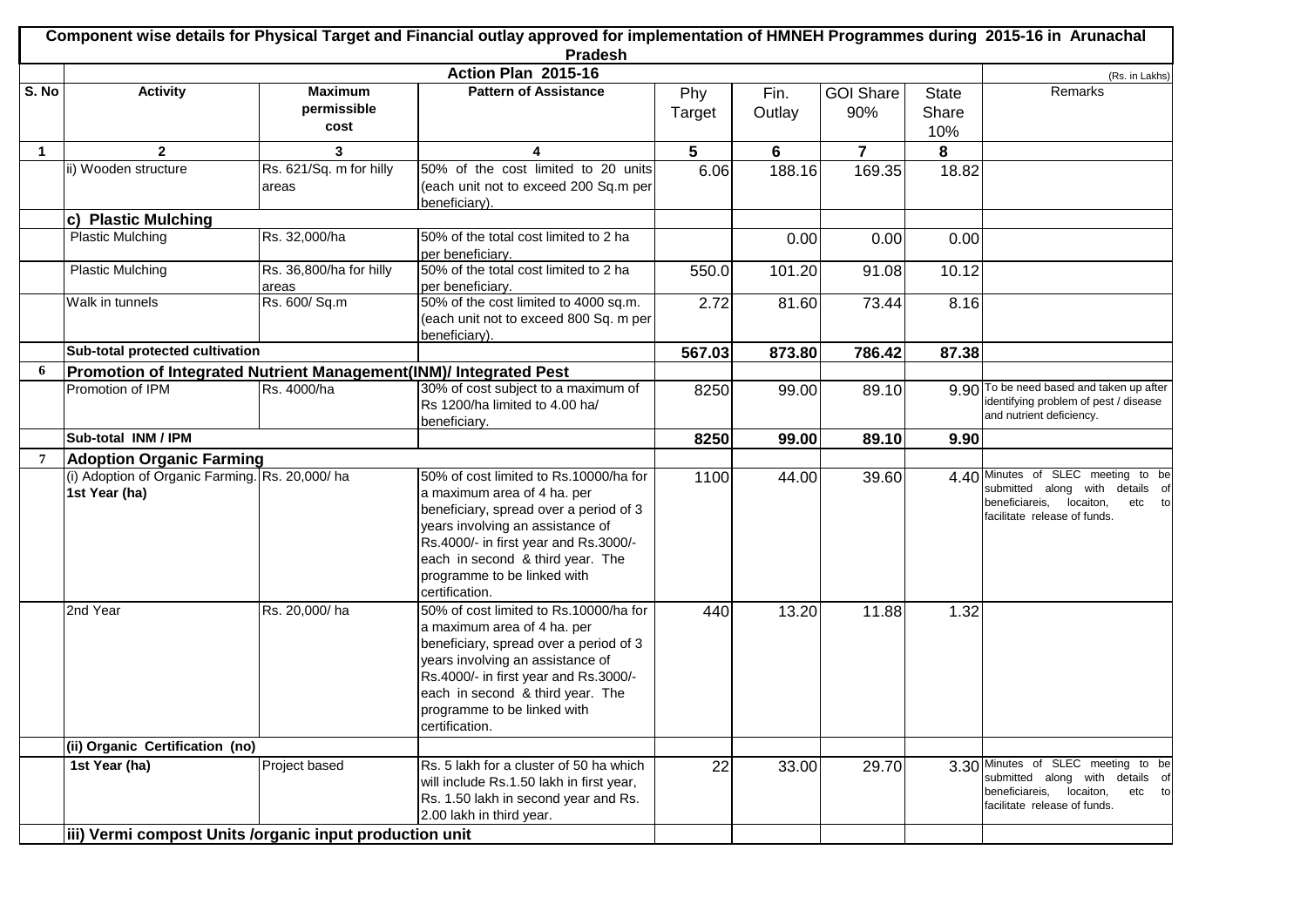|             | Component wise details for Physical Target and Financial outlay approved for implementation of HMNEH Programmes during 2015-16 in Arunachal<br>Pradesh |                                  |                                                                                                                                                                                                                                                                                   |        |        |                  |              |                                                                                                                                             |  |
|-------------|--------------------------------------------------------------------------------------------------------------------------------------------------------|----------------------------------|-----------------------------------------------------------------------------------------------------------------------------------------------------------------------------------------------------------------------------------------------------------------------------------|--------|--------|------------------|--------------|---------------------------------------------------------------------------------------------------------------------------------------------|--|
|             |                                                                                                                                                        |                                  | Action Plan 2015-16                                                                                                                                                                                                                                                               |        |        |                  |              | (Rs. in Lakhs)                                                                                                                              |  |
| S. No       | <b>Activity</b>                                                                                                                                        | <b>Maximum</b>                   | <b>Pattern of Assistance</b>                                                                                                                                                                                                                                                      | Phy    | Fin.   | <b>GOI Share</b> | <b>State</b> | Remarks                                                                                                                                     |  |
|             |                                                                                                                                                        | permissible                      |                                                                                                                                                                                                                                                                                   | Target | Outlay | 90%              | Share        |                                                                                                                                             |  |
|             |                                                                                                                                                        | cost                             |                                                                                                                                                                                                                                                                                   |        |        |                  | 10%          |                                                                                                                                             |  |
| $\mathbf 1$ | $\mathbf{2}$                                                                                                                                           | 3                                | 4                                                                                                                                                                                                                                                                                 | 5      | 6      | $\overline{7}$   | 8            |                                                                                                                                             |  |
|             | ii) Wooden structure                                                                                                                                   | Rs. 621/Sq. m for hilly<br>areas | 50% of the cost limited to 20 units<br>(each unit not to exceed 200 Sq.m per<br>beneficiary).                                                                                                                                                                                     | 6.06   | 188.16 | 169.35           | 18.82        |                                                                                                                                             |  |
|             | c) Plastic Mulching                                                                                                                                    |                                  |                                                                                                                                                                                                                                                                                   |        |        |                  |              |                                                                                                                                             |  |
|             | <b>Plastic Mulching</b>                                                                                                                                | Rs. 32,000/ha                    | 50% of the total cost limited to 2 ha<br>per beneficiary.                                                                                                                                                                                                                         |        | 0.00   | 0.00             | 0.00         |                                                                                                                                             |  |
|             | <b>Plastic Mulching</b>                                                                                                                                | Rs. 36,800/ha for hilly<br>areas | 50% of the total cost limited to 2 ha<br>per beneficiary.                                                                                                                                                                                                                         | 550.0  | 101.20 | 91.08            | 10.12        |                                                                                                                                             |  |
|             | Walk in tunnels                                                                                                                                        | Rs. 600/ Sq.m                    | 50% of the cost limited to 4000 sq.m.<br>(each unit not to exceed 800 Sq. m per<br>beneficiary).                                                                                                                                                                                  | 2.72   | 81.60  | 73.44            | 8.16         |                                                                                                                                             |  |
|             | Sub-total protected cultivation                                                                                                                        |                                  |                                                                                                                                                                                                                                                                                   | 567.03 | 873.80 | 786.42           | 87.38        |                                                                                                                                             |  |
| 6           | Promotion of Integrated Nutrient Management(INM)/ Integrated Pest                                                                                      |                                  |                                                                                                                                                                                                                                                                                   |        |        |                  |              |                                                                                                                                             |  |
|             | Promotion of IPM                                                                                                                                       | Rs. 4000/ha                      | 30% of cost subject to a maximum of<br>Rs 1200/ha limited to 4.00 ha/<br>beneficiary.                                                                                                                                                                                             | 8250   | 99.00  | 89.10            |              | 9.90 To be need based and taken up after<br>identifying problem of pest / disease<br>and nutrient deficiency.                               |  |
|             | Sub-total INM / IPM                                                                                                                                    |                                  |                                                                                                                                                                                                                                                                                   | 8250   | 99.00  | 89.10            | 9.90         |                                                                                                                                             |  |
| 7           | <b>Adoption Organic Farming</b>                                                                                                                        |                                  |                                                                                                                                                                                                                                                                                   |        |        |                  |              |                                                                                                                                             |  |
|             | (i) Adoption of Organic Farming. Rs. 20,000/ ha<br>1st Year (ha)                                                                                       |                                  | 50% of cost limited to Rs.10000/ha for<br>a maximum area of 4 ha. per<br>beneficiary, spread over a period of 3<br>years involving an assistance of<br>Rs.4000/- in first year and Rs.3000/-<br>each in second & third year. The<br>programme to be linked with<br>certification. | 1100   | 44.00  | 39.60            | 4.40         | Minutes of SLEC meeting to be<br>submitted along with details of<br>beneficiareis,<br>etc to<br>locaiton,<br>facilitate release of funds.   |  |
|             | 2nd Year                                                                                                                                               | Rs. 20,000/ha                    | 50% of cost limited to Rs.10000/ha for<br>a maximum area of 4 ha. per<br>beneficiary, spread over a period of 3<br>years involving an assistance of<br>Rs.4000/- in first year and Rs.3000/-<br>each in second & third year. The<br>programme to be linked with<br>certification. | 440    | 13.20  | 11.88            | 1.32         |                                                                                                                                             |  |
|             | (ii) Organic Certification (no)                                                                                                                        |                                  |                                                                                                                                                                                                                                                                                   |        |        |                  |              |                                                                                                                                             |  |
|             | 1st Year (ha)                                                                                                                                          | Project based                    | Rs. 5 lakh for a cluster of 50 ha which<br>will include Rs.1.50 lakh in first year,<br>Rs. 1.50 lakh in second year and Rs.<br>2.00 lakh in third year.                                                                                                                           | 22     | 33.00  | 29.70            |              | 3.30 Minutes of SLEC meeting to be<br>submitted along with details of<br>beneficiareis, locaiton,<br>etc to<br>facilitate release of funds. |  |
|             | iii) Vermi compost Units /organic input production unit                                                                                                |                                  |                                                                                                                                                                                                                                                                                   |        |        |                  |              |                                                                                                                                             |  |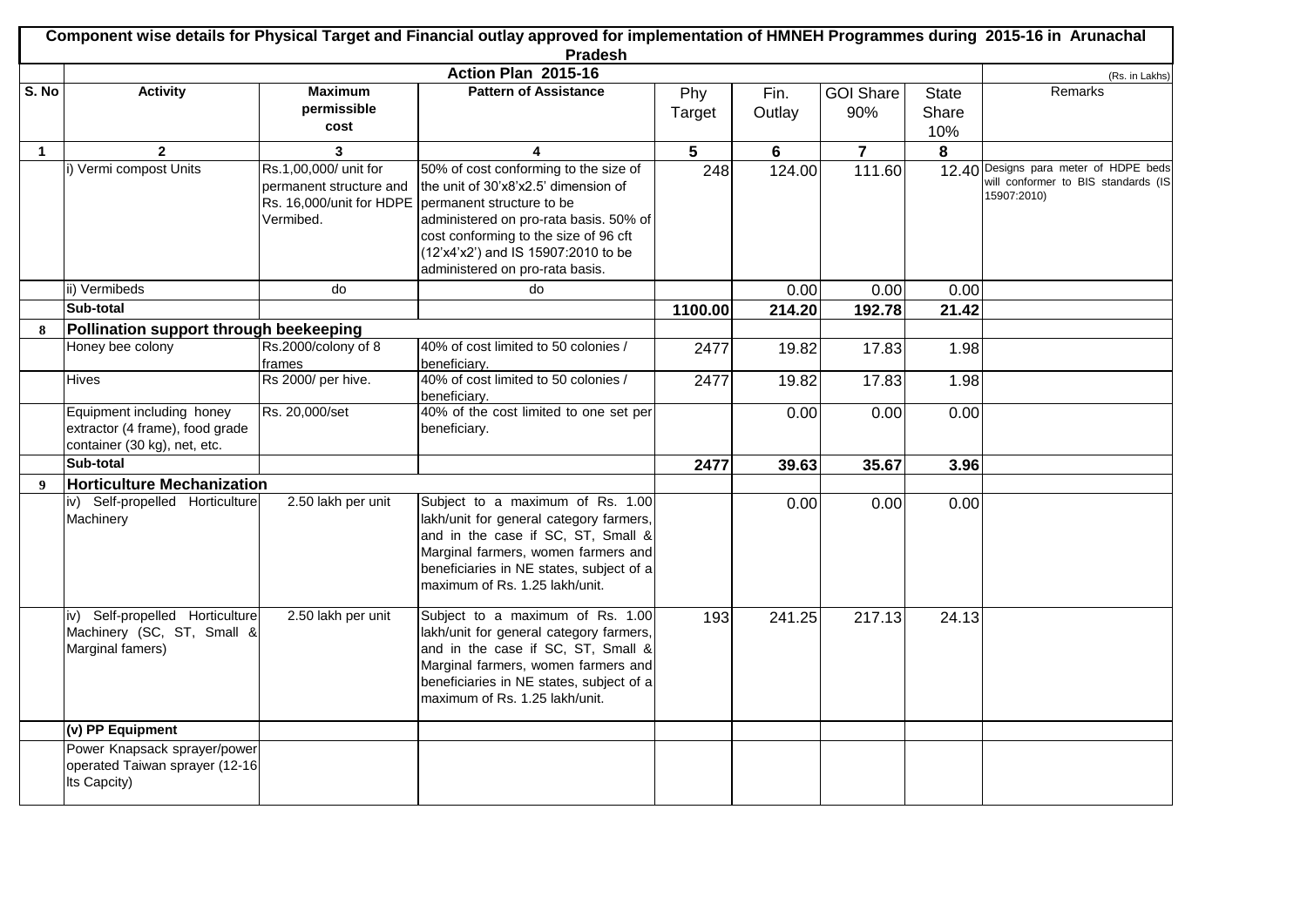|              | Component wise details for Physical Target and Financial outlay approved for implementation of HMNEH Programmes during 2015-16 in Arunachal<br><b>Pradesh</b> |                                                               |                                                                                                                                                                                                                                                                                                  |               |                |                         |                              |                                                                                             |
|--------------|---------------------------------------------------------------------------------------------------------------------------------------------------------------|---------------------------------------------------------------|--------------------------------------------------------------------------------------------------------------------------------------------------------------------------------------------------------------------------------------------------------------------------------------------------|---------------|----------------|-------------------------|------------------------------|---------------------------------------------------------------------------------------------|
|              |                                                                                                                                                               |                                                               | Action Plan 2015-16                                                                                                                                                                                                                                                                              |               |                |                         |                              | (Rs. in Lakhs)                                                                              |
| S. No        | <b>Activity</b>                                                                                                                                               | <b>Maximum</b><br>permissible<br>cost                         | <b>Pattern of Assistance</b>                                                                                                                                                                                                                                                                     | Phy<br>Target | Fin.<br>Outlay | <b>GOI Share</b><br>90% | <b>State</b><br>Share<br>10% | Remarks                                                                                     |
| $\mathbf{1}$ | $\mathbf{2}$                                                                                                                                                  | 3                                                             | 4                                                                                                                                                                                                                                                                                                | 5             | 6              | $\overline{7}$          | 8                            |                                                                                             |
|              | i) Vermi compost Units                                                                                                                                        | Rs.1,00,000/ unit for<br>permanent structure and<br>Vermibed. | 50% of cost conforming to the size of<br>the unit of 30'x8'x2.5' dimension of<br>Rs. 16,000/unit for HDPE permanent structure to be<br>administered on pro-rata basis. 50% of<br>cost conforming to the size of 96 cft<br>(12'x4'x2') and IS 15907:2010 to be<br>administered on pro-rata basis. | 248           | 124.00         | 111.60                  |                              | 12.40 Designs para meter of HDPE beds<br>will conformer to BIS standards (IS<br>15907:2010) |
|              | ii) Vermibeds                                                                                                                                                 | do                                                            | do                                                                                                                                                                                                                                                                                               |               | 0.00           | 0.00                    | 0.00                         |                                                                                             |
|              | Sub-total                                                                                                                                                     |                                                               |                                                                                                                                                                                                                                                                                                  | 1100.00       | 214.20         | 192.78                  | 21.42                        |                                                                                             |
| 8            | Pollination support through beekeeping                                                                                                                        |                                                               |                                                                                                                                                                                                                                                                                                  |               |                |                         |                              |                                                                                             |
|              | Honey bee colony                                                                                                                                              | Rs.2000/colony of 8<br>frames                                 | 40% of cost limited to 50 colonies /<br>beneficiarv.                                                                                                                                                                                                                                             | 2477          | 19.82          | 17.83                   | 1.98                         |                                                                                             |
|              | <b>Hives</b>                                                                                                                                                  | Rs 2000/ per hive.                                            | 40% of cost limited to 50 colonies /<br>beneficiary.                                                                                                                                                                                                                                             | 2477          | 19.82          | 17.83                   | 1.98                         |                                                                                             |
|              | Equipment including honey<br>extractor (4 frame), food grade<br>container (30 kg), net, etc.                                                                  | Rs. 20,000/set                                                | 40% of the cost limited to one set per<br>beneficiary.                                                                                                                                                                                                                                           |               | 0.00           | 0.00                    | 0.00                         |                                                                                             |
|              | Sub-total                                                                                                                                                     |                                                               |                                                                                                                                                                                                                                                                                                  | 2477          | 39.63          | 35.67                   | 3.96                         |                                                                                             |
| 9            | <b>Horticulture Mechanization</b>                                                                                                                             |                                                               |                                                                                                                                                                                                                                                                                                  |               |                |                         |                              |                                                                                             |
|              | iv) Self-propelled Horticulture<br>Machinery                                                                                                                  | 2.50 lakh per unit                                            | Subject to a maximum of Rs. 1.00<br>lakh/unit for general category farmers,<br>and in the case if SC, ST, Small &<br>Marginal farmers, women farmers and<br>beneficiaries in NE states, subject of a<br>maximum of Rs. 1.25 lakh/unit.                                                           |               | 0.00           | 0.00                    | 0.00                         |                                                                                             |
|              | iv) Self-propelled Horticulture<br>Machinery (SC, ST, Small &<br>Marginal famers)                                                                             | 2.50 lakh per unit                                            | Subject to a maximum of Rs. 1.00<br>lakh/unit for general category farmers,<br>and in the case if SC, ST, Small &<br>Marginal farmers, women farmers and<br>beneficiaries in NE states, subject of a<br>maximum of Rs. 1.25 lakh/unit.                                                           | 193           | 241.25         | 217.13                  | 24.13                        |                                                                                             |
|              | (v) PP Equipment                                                                                                                                              |                                                               |                                                                                                                                                                                                                                                                                                  |               |                |                         |                              |                                                                                             |
|              | Power Knapsack sprayer/power<br>operated Taiwan sprayer (12-16<br>Its Capcity)                                                                                |                                                               |                                                                                                                                                                                                                                                                                                  |               |                |                         |                              |                                                                                             |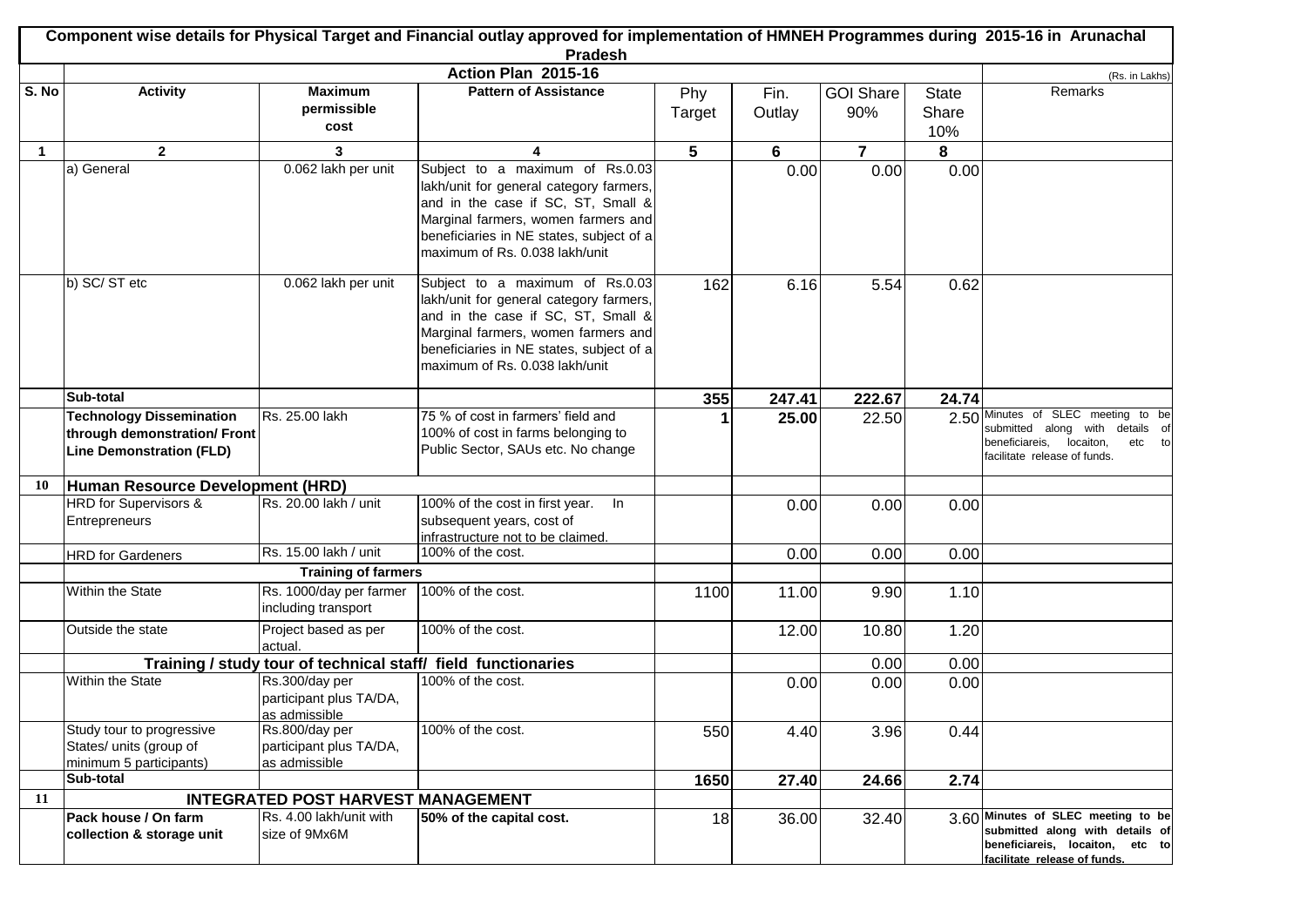|              | Component wise details for Physical Target and Financial outlay approved for implementation of HMNEH Programmes during 2015-16 in Arunachal |                                           |                                                                                 |        |        |                  |              |                                                                       |  |
|--------------|---------------------------------------------------------------------------------------------------------------------------------------------|-------------------------------------------|---------------------------------------------------------------------------------|--------|--------|------------------|--------------|-----------------------------------------------------------------------|--|
|              |                                                                                                                                             |                                           | <b>Pradesh</b><br>Action Plan 2015-16                                           |        |        |                  |              |                                                                       |  |
| S. No        | <b>Activity</b>                                                                                                                             | <b>Maximum</b>                            | <b>Pattern of Assistance</b>                                                    | Phy    | Fin.   | <b>GOI Share</b> | <b>State</b> | (Rs. in Lakhs)<br>Remarks                                             |  |
|              |                                                                                                                                             | permissible                               |                                                                                 | Target | Outlay | 90%              | Share        |                                                                       |  |
|              |                                                                                                                                             | cost                                      |                                                                                 |        |        |                  | 10%          |                                                                       |  |
| $\mathbf{1}$ | $\mathbf{2}$                                                                                                                                | 3                                         | 4                                                                               | 5      | 6      | $\overline{7}$   | 8            |                                                                       |  |
|              | a) General                                                                                                                                  | 0.062 lakh per unit                       | Subject to a maximum of Rs.0.03                                                 |        | 0.00   | 0.00             | 0.00         |                                                                       |  |
|              |                                                                                                                                             |                                           | lakh/unit for general category farmers,                                         |        |        |                  |              |                                                                       |  |
|              |                                                                                                                                             |                                           | and in the case if SC, ST, Small &                                              |        |        |                  |              |                                                                       |  |
|              |                                                                                                                                             |                                           | Marginal farmers, women farmers and                                             |        |        |                  |              |                                                                       |  |
|              |                                                                                                                                             |                                           | beneficiaries in NE states, subject of a<br>maximum of Rs. 0.038 lakh/unit      |        |        |                  |              |                                                                       |  |
|              |                                                                                                                                             |                                           |                                                                                 |        |        |                  |              |                                                                       |  |
|              | b) SC/ST etc                                                                                                                                | 0.062 lakh per unit                       | Subject to a maximum of Rs.0.03                                                 | 162    | 6.16   | 5.54             | 0.62         |                                                                       |  |
|              |                                                                                                                                             |                                           | lakh/unit for general category farmers,                                         |        |        |                  |              |                                                                       |  |
|              |                                                                                                                                             |                                           | and in the case if SC, ST, Small &                                              |        |        |                  |              |                                                                       |  |
|              |                                                                                                                                             |                                           | Marginal farmers, women farmers and<br>beneficiaries in NE states, subject of a |        |        |                  |              |                                                                       |  |
|              |                                                                                                                                             |                                           | maximum of Rs. 0.038 lakh/unit                                                  |        |        |                  |              |                                                                       |  |
|              |                                                                                                                                             |                                           |                                                                                 |        |        |                  |              |                                                                       |  |
|              | Sub-total                                                                                                                                   |                                           |                                                                                 | 355    | 247.41 | 222.67           | 24.74        |                                                                       |  |
|              | <b>Technology Dissemination</b>                                                                                                             | Rs. 25.00 lakh                            | 75 % of cost in farmers' field and                                              |        | 25.00  | 22.50            |              | 2.50 Minutes of SLEC meeting to be<br>submitted along with details of |  |
|              | through demonstration/ Front                                                                                                                |                                           | 100% of cost in farms belonging to<br>Public Sector, SAUs etc. No change        |        |        |                  |              | beneficiareis,<br>etc to<br>locaiton,                                 |  |
|              | <b>Line Demonstration (FLD)</b>                                                                                                             |                                           |                                                                                 |        |        |                  |              | facilitate release of funds.                                          |  |
| 10           | Human Resource Development (HRD)                                                                                                            |                                           |                                                                                 |        |        |                  |              |                                                                       |  |
|              | <b>HRD</b> for Supervisors &                                                                                                                | Rs. 20.00 lakh / unit                     | 100% of the cost in first year. In                                              |        | 0.00   | 0.00             | 0.00         |                                                                       |  |
|              | Entrepreneurs                                                                                                                               |                                           | subsequent years, cost of                                                       |        |        |                  |              |                                                                       |  |
|              |                                                                                                                                             |                                           | infrastructure not to be claimed.                                               |        |        |                  |              |                                                                       |  |
|              | <b>HRD</b> for Gardeners                                                                                                                    | Rs. 15.00 lakh / unit                     | 100% of the cost.                                                               |        | 0.00   | 0.00             | 0.00         |                                                                       |  |
|              |                                                                                                                                             | <b>Training of farmers</b>                |                                                                                 |        |        |                  |              |                                                                       |  |
|              | Within the State                                                                                                                            | Rs. 1000/day per farmer                   | 100% of the cost.                                                               | 1100   | 11.00  | 9.90             | 1.10         |                                                                       |  |
|              |                                                                                                                                             | including transport                       |                                                                                 |        |        |                  |              |                                                                       |  |
|              | Outside the state                                                                                                                           | Project based as per<br>actual.           | 100% of the cost.                                                               |        | 12.00  | 10.80            | 1.20         |                                                                       |  |
|              |                                                                                                                                             |                                           | Training / study tour of technical staff/ field functionaries                   |        |        | 0.00             | 0.00         |                                                                       |  |
|              | Within the State                                                                                                                            | Rs.300/day per                            | 100% of the cost.                                                               |        | 0.00   | 0.00             | 0.00         |                                                                       |  |
|              |                                                                                                                                             | participant plus TA/DA,                   |                                                                                 |        |        |                  |              |                                                                       |  |
|              |                                                                                                                                             | as admissible                             |                                                                                 |        |        |                  |              |                                                                       |  |
|              | Study tour to progressive                                                                                                                   | Rs.800/day per                            | 100% of the cost.                                                               | 550    | 4.40   | 3.96             | 0.44         |                                                                       |  |
|              | States/ units (group of<br>minimum 5 participants)                                                                                          | participant plus TA/DA,<br>as admissible  |                                                                                 |        |        |                  |              |                                                                       |  |
|              | Sub-total                                                                                                                                   |                                           |                                                                                 | 1650   | 27.40  | 24.66            | 2.74         |                                                                       |  |
| 11           |                                                                                                                                             | <b>INTEGRATED POST HARVEST MANAGEMENT</b> |                                                                                 |        |        |                  |              |                                                                       |  |
|              | Pack house / On farm                                                                                                                        | Rs. 4.00 lakh/unit with                   | 50% of the capital cost.                                                        | 18     | 36.00  | 32.40            |              | 3.60 Minutes of SLEC meeting to be                                    |  |
|              | collection & storage unit                                                                                                                   | size of 9Mx6M                             |                                                                                 |        |        |                  |              | submitted along with details of                                       |  |
|              |                                                                                                                                             |                                           |                                                                                 |        |        |                  |              | beneficiareis, locaiton, etc to<br>facilitate release of funds.       |  |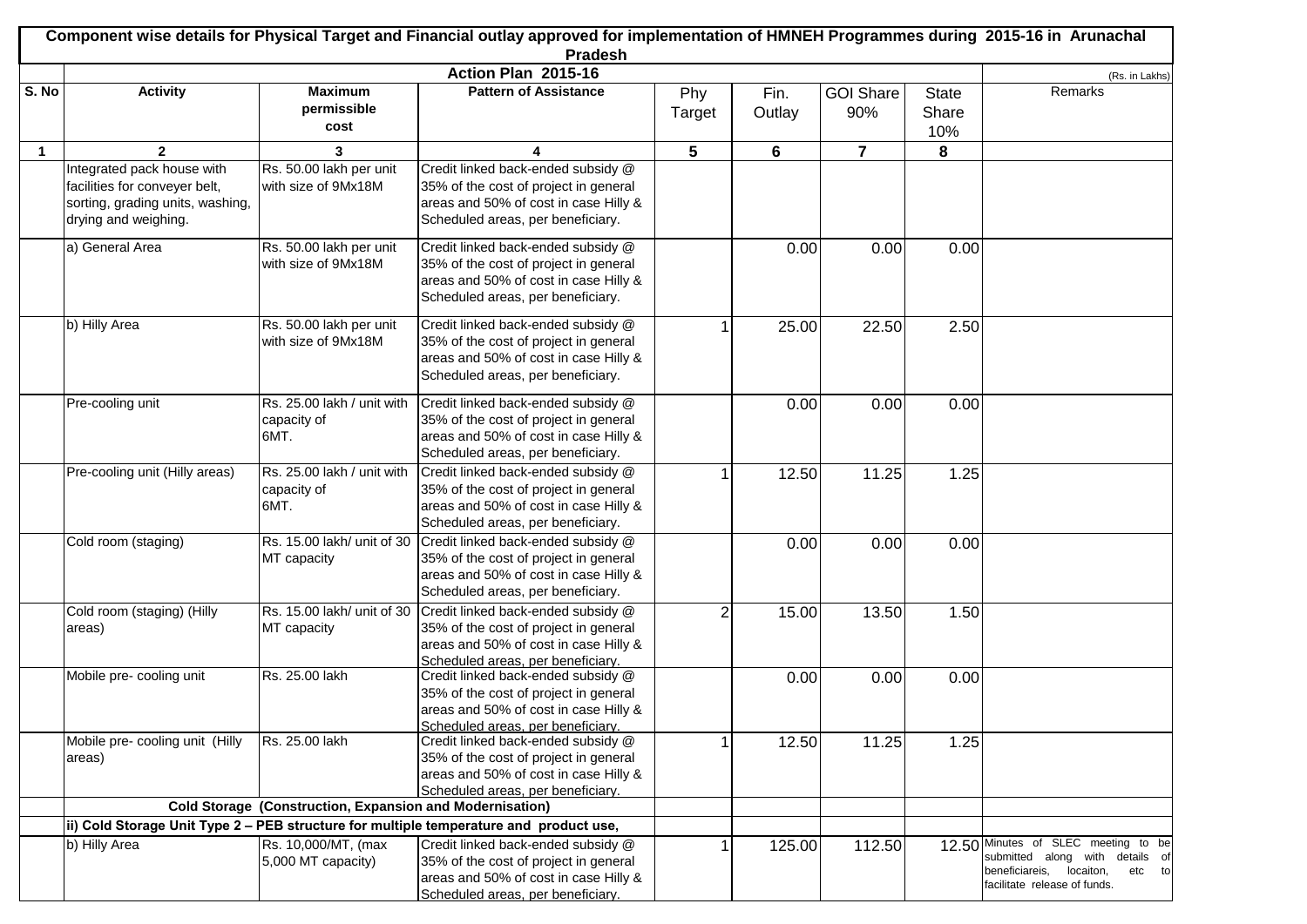|             | Component wise details for Physical Target and Financial outlay approved for implementation of HMNEH Programmes during 2015-16 in Arunachal<br>Pradesh |                                                                 |                                                                                        |                |        |                  |              |                                                                       |
|-------------|--------------------------------------------------------------------------------------------------------------------------------------------------------|-----------------------------------------------------------------|----------------------------------------------------------------------------------------|----------------|--------|------------------|--------------|-----------------------------------------------------------------------|
|             |                                                                                                                                                        |                                                                 | Action Plan 2015-16                                                                    |                |        |                  |              | (Rs. in Lakhs)                                                        |
| S. No       | <b>Activity</b>                                                                                                                                        | <b>Maximum</b>                                                  | <b>Pattern of Assistance</b>                                                           | Phy            | Fin.   | <b>GOI Share</b> | <b>State</b> | Remarks                                                               |
|             |                                                                                                                                                        | permissible<br>cost                                             |                                                                                        | Target         | Outlay | 90%              | Share<br>10% |                                                                       |
| $\mathbf 1$ | $\mathbf{2}$                                                                                                                                           | 3                                                               |                                                                                        | 5              | 6      | $\overline{7}$   | 8            |                                                                       |
|             | Integrated pack house with                                                                                                                             | Rs. 50.00 lakh per unit                                         | Credit linked back-ended subsidy @                                                     |                |        |                  |              |                                                                       |
|             | facilities for conveyer belt,                                                                                                                          | with size of 9Mx18M                                             | 35% of the cost of project in general                                                  |                |        |                  |              |                                                                       |
|             | sorting, grading units, washing,                                                                                                                       |                                                                 | areas and 50% of cost in case Hilly &                                                  |                |        |                  |              |                                                                       |
|             | drying and weighing.                                                                                                                                   |                                                                 | Scheduled areas, per beneficiary.                                                      |                |        |                  |              |                                                                       |
|             | a) General Area                                                                                                                                        | Rs. 50.00 lakh per unit                                         | Credit linked back-ended subsidy @                                                     |                | 0.00   | 0.00             | 0.00         |                                                                       |
|             |                                                                                                                                                        | with size of 9Mx18M                                             | 35% of the cost of project in general                                                  |                |        |                  |              |                                                                       |
|             |                                                                                                                                                        |                                                                 | areas and 50% of cost in case Hilly &                                                  |                |        |                  |              |                                                                       |
|             |                                                                                                                                                        |                                                                 | Scheduled areas, per beneficiary.                                                      |                |        |                  |              |                                                                       |
|             | b) Hilly Area                                                                                                                                          | Rs. 50.00 lakh per unit                                         | Credit linked back-ended subsidy @                                                     |                | 25.00  | 22.50            | 2.50         |                                                                       |
|             |                                                                                                                                                        | with size of 9Mx18M                                             | 35% of the cost of project in general                                                  |                |        |                  |              |                                                                       |
|             |                                                                                                                                                        |                                                                 | areas and 50% of cost in case Hilly &                                                  |                |        |                  |              |                                                                       |
|             |                                                                                                                                                        |                                                                 | Scheduled areas, per beneficiary.                                                      |                |        |                  |              |                                                                       |
|             | Pre-cooling unit                                                                                                                                       | Rs. 25.00 lakh / unit with                                      | Credit linked back-ended subsidy @                                                     |                | 0.00   | 0.00             | 0.00         |                                                                       |
|             |                                                                                                                                                        | capacity of                                                     | 35% of the cost of project in general                                                  |                |        |                  |              |                                                                       |
|             |                                                                                                                                                        | 6MT.                                                            | areas and 50% of cost in case Hilly &                                                  |                |        |                  |              |                                                                       |
|             |                                                                                                                                                        |                                                                 | Scheduled areas, per beneficiary.                                                      |                |        |                  |              |                                                                       |
|             | Pre-cooling unit (Hilly areas)                                                                                                                         | Rs. 25.00 lakh / unit with                                      | Credit linked back-ended subsidy @                                                     |                | 12.50  | 11.25            | 1.25         |                                                                       |
|             |                                                                                                                                                        | capacity of<br>6MT.                                             | 35% of the cost of project in general<br>areas and 50% of cost in case Hilly &         |                |        |                  |              |                                                                       |
|             |                                                                                                                                                        |                                                                 | Scheduled areas, per beneficiary.                                                      |                |        |                  |              |                                                                       |
|             | Cold room (staging)                                                                                                                                    | Rs. 15.00 lakh/ unit of 30                                      | Credit linked back-ended subsidy @                                                     |                | 0.00   | 0.00             | 0.00         |                                                                       |
|             |                                                                                                                                                        | MT capacity                                                     | 35% of the cost of project in general                                                  |                |        |                  |              |                                                                       |
|             |                                                                                                                                                        |                                                                 | areas and 50% of cost in case Hilly &                                                  |                |        |                  |              |                                                                       |
|             |                                                                                                                                                        |                                                                 | Scheduled areas, per beneficiary.                                                      |                |        |                  |              |                                                                       |
|             | Cold room (staging) (Hilly                                                                                                                             |                                                                 | Rs. 15.00 lakh/ unit of 30 Credit linked back-ended subsidy @                          | $\overline{2}$ | 15.00  | 13.50            | 1.50         |                                                                       |
|             | areas)                                                                                                                                                 | MT capacity                                                     | 35% of the cost of project in general<br>areas and 50% of cost in case Hilly &         |                |        |                  |              |                                                                       |
|             |                                                                                                                                                        |                                                                 | Scheduled areas, per beneficiary.                                                      |                |        |                  |              |                                                                       |
|             | Mobile pre- cooling unit                                                                                                                               | Rs. 25.00 lakh                                                  | Credit linked back-ended subsidy @                                                     |                | 0.00   | 0.00             | 0.00         |                                                                       |
|             |                                                                                                                                                        |                                                                 | 35% of the cost of project in general                                                  |                |        |                  |              |                                                                       |
|             |                                                                                                                                                        |                                                                 | areas and 50% of cost in case Hilly &                                                  |                |        |                  |              |                                                                       |
|             |                                                                                                                                                        |                                                                 | Scheduled areas, per beneficiary.                                                      |                |        |                  |              |                                                                       |
|             | Mobile pre- cooling unit (Hilly                                                                                                                        | Rs. 25.00 lakh                                                  | Credit linked back-ended subsidy @                                                     |                | 12.50  | 11.25            | 1.25         |                                                                       |
|             | areas)                                                                                                                                                 |                                                                 | 35% of the cost of project in general                                                  |                |        |                  |              |                                                                       |
|             |                                                                                                                                                        |                                                                 | areas and 50% of cost in case Hilly &<br>Scheduled areas, per beneficiary.             |                |        |                  |              |                                                                       |
|             |                                                                                                                                                        | <b>Cold Storage (Construction, Expansion and Modernisation)</b> |                                                                                        |                |        |                  |              |                                                                       |
|             |                                                                                                                                                        |                                                                 | ii) Cold Storage Unit Type 2 - PEB structure for multiple temperature and product use, |                |        |                  |              |                                                                       |
|             | b) Hilly Area                                                                                                                                          | Rs. 10,000/MT, (max                                             | Credit linked back-ended subsidy @                                                     |                | 125.00 | 112.50           |              | 12.50 Minutes of SLEC meeting to be                                   |
|             |                                                                                                                                                        | 5,000 MT capacity)                                              | 35% of the cost of project in general                                                  |                |        |                  |              | submitted along with details of<br>beneficiareis, locaiton,<br>etc to |
|             |                                                                                                                                                        |                                                                 | areas and 50% of cost in case Hilly &                                                  |                |        |                  |              | facilitate release of funds.                                          |
|             |                                                                                                                                                        |                                                                 | Scheduled areas, per beneficiary.                                                      |                |        |                  |              |                                                                       |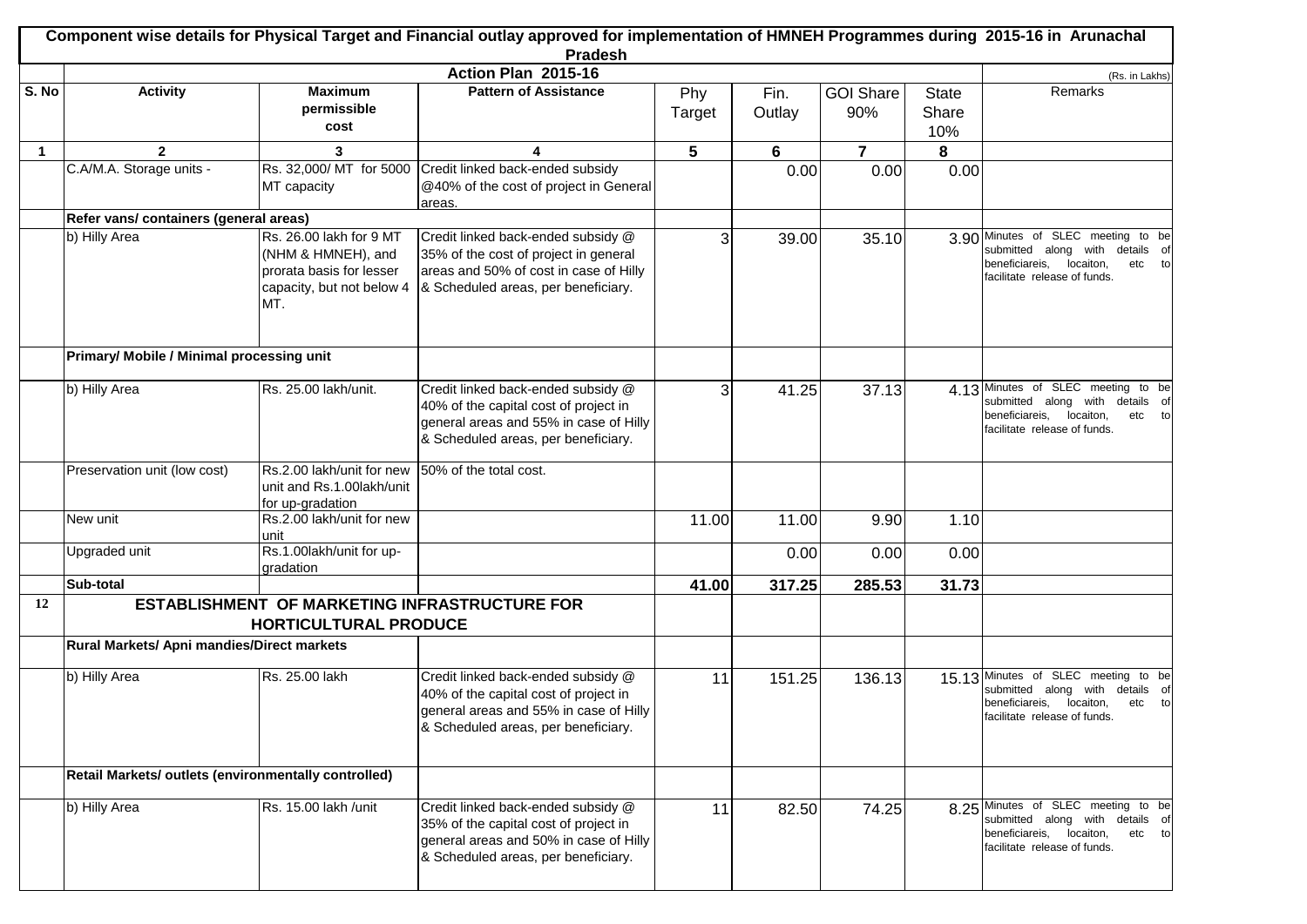|              | Component wise details for Physical Target and Financial outlay approved for implementation of HMNEH Programmes during 2015-16 in Arunachal |                                                                                                               |                                                                                                                                                              |        |        |                         |              |                                                                                                                                                 |  |
|--------------|---------------------------------------------------------------------------------------------------------------------------------------------|---------------------------------------------------------------------------------------------------------------|--------------------------------------------------------------------------------------------------------------------------------------------------------------|--------|--------|-------------------------|--------------|-------------------------------------------------------------------------------------------------------------------------------------------------|--|
|              |                                                                                                                                             |                                                                                                               | <b>Pradesh</b><br>Action Plan 2015-16                                                                                                                        |        |        |                         |              |                                                                                                                                                 |  |
| S. No        | <b>Activity</b>                                                                                                                             | <b>Maximum</b>                                                                                                | <b>Pattern of Assistance</b>                                                                                                                                 | Phy    | Fin.   | <b>GOI Share</b>        | <b>State</b> | (Rs. in Lakhs)<br>Remarks                                                                                                                       |  |
|              |                                                                                                                                             | permissible<br>cost                                                                                           |                                                                                                                                                              | Target | Outlay | 90%                     | Share        |                                                                                                                                                 |  |
| $\mathbf{1}$ | $\mathbf{2}$                                                                                                                                | 3                                                                                                             | 4                                                                                                                                                            | 5      | 6      | $\overline{\mathbf{r}}$ | 10%<br>8     |                                                                                                                                                 |  |
|              | C.A/M.A. Storage units -                                                                                                                    |                                                                                                               | Rs. 32,000/ MT for 5000 Credit linked back-ended subsidy                                                                                                     |        | 0.00   | 0.00                    | 0.00         |                                                                                                                                                 |  |
|              |                                                                                                                                             | MT capacity                                                                                                   | @40% of the cost of project in General<br>areas.                                                                                                             |        |        |                         |              |                                                                                                                                                 |  |
|              | Refer vans/ containers (general areas)                                                                                                      |                                                                                                               |                                                                                                                                                              |        |        |                         |              |                                                                                                                                                 |  |
|              | b) Hilly Area                                                                                                                               | Rs. 26.00 lakh for 9 MT<br>(NHM & HMNEH), and<br>prorata basis for lesser<br>capacity, but not below 4<br>MT. | Credit linked back-ended subsidy @<br>35% of the cost of project in general<br>areas and 50% of cost in case of Hilly<br>& Scheduled areas, per beneficiary. | 3      | 39.00  | 35.10                   |              | 3.90 Minutes of SLEC meeting to be<br>submitted along with details of<br>beneficiareis, locaiton,<br>etc to<br>facilitate release of funds.     |  |
|              | Primary/ Mobile / Minimal processing unit                                                                                                   |                                                                                                               |                                                                                                                                                              |        |        |                         |              |                                                                                                                                                 |  |
|              | b) Hilly Area                                                                                                                               | Rs. 25.00 lakh/unit.                                                                                          | Credit linked back-ended subsidy @<br>40% of the capital cost of project in<br>general areas and 55% in case of Hilly<br>& Scheduled areas, per beneficiary. | 3      | 41.25  | 37.13                   |              | 4.13 Minutes of SLEC meeting to be<br>submitted along with details of<br>beneficiareis, locaiton,<br>etc to<br>facilitate release of funds.     |  |
|              | Preservation unit (low cost)                                                                                                                | Rs.2.00 lakh/unit for new<br>unit and Rs.1.00lakh/unit<br>for up-gradation                                    | 50% of the total cost.                                                                                                                                       |        |        |                         |              |                                                                                                                                                 |  |
|              | New unit                                                                                                                                    | Rs.2.00 lakh/unit for new<br>unit                                                                             |                                                                                                                                                              | 11.00  | 11.00  | 9.90                    | 1.10         |                                                                                                                                                 |  |
|              | Upgraded unit                                                                                                                               | Rs.1.00lakh/unit for up-<br>gradation                                                                         |                                                                                                                                                              |        | 0.00   | 0.00                    | 0.00         |                                                                                                                                                 |  |
|              | Sub-total                                                                                                                                   |                                                                                                               |                                                                                                                                                              | 41.00  | 317.25 | 285.53                  | 31.73        |                                                                                                                                                 |  |
| 12           |                                                                                                                                             |                                                                                                               | <b>ESTABLISHMENT OF MARKETING INFRASTRUCTURE FOR</b>                                                                                                         |        |        |                         |              |                                                                                                                                                 |  |
|              |                                                                                                                                             | <b>HORTICULTURAL PRODUCE</b>                                                                                  |                                                                                                                                                              |        |        |                         |              |                                                                                                                                                 |  |
|              | Rural Markets/ Apni mandies/Direct markets                                                                                                  |                                                                                                               |                                                                                                                                                              |        |        |                         |              |                                                                                                                                                 |  |
|              | b) Hilly Area                                                                                                                               | Rs. 25.00 lakh                                                                                                | Credit linked back-ended subsidy @<br>40% of the capital cost of project in<br>general areas and 55% in case of Hilly<br>& Scheduled areas, per beneficiary. | 11     | 151.25 | 136.13                  |              | 15.13 Minutes of SLEC meeting<br>to be<br>submitted along with details of<br>beneficiareis, locaiton,<br>etc to<br>facilitate release of funds. |  |
|              | Retail Markets/ outlets (environmentally controlled)                                                                                        |                                                                                                               |                                                                                                                                                              |        |        |                         |              |                                                                                                                                                 |  |
|              | b) Hilly Area                                                                                                                               | Rs. 15.00 lakh /unit                                                                                          | Credit linked back-ended subsidy @<br>35% of the capital cost of project in<br>general areas and 50% in case of Hilly<br>& Scheduled areas, per beneficiary. | 11     | 82.50  | 74.25                   |              | 8.25 Minutes of SLEC meeting to be<br>submitted along with details of<br>beneficiareis, locaiton,<br>etc to<br>facilitate release of funds.     |  |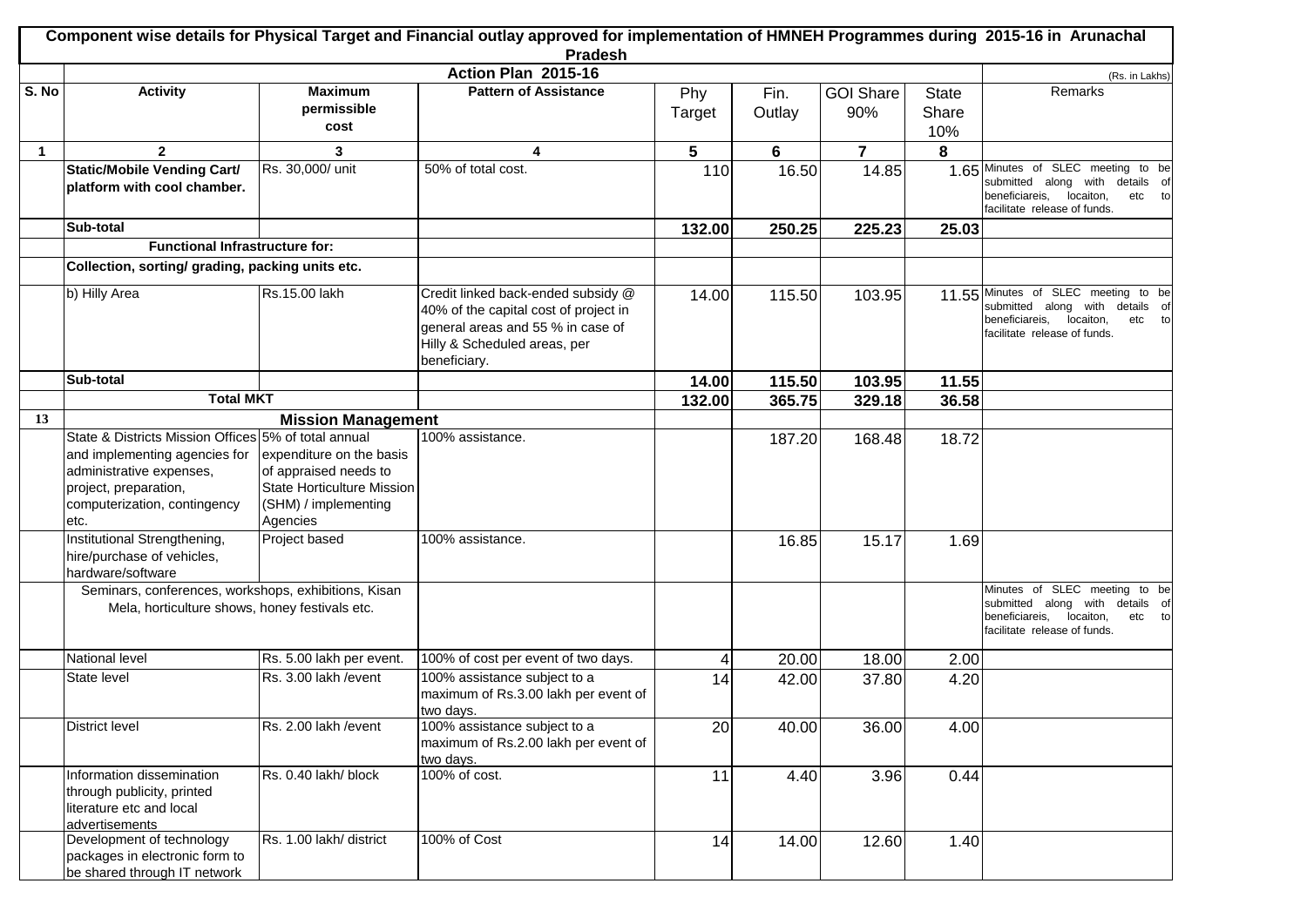|              | Component wise details for Physical Target and Financial outlay approved for implementation of HMNEH Programmes during 2015-16 in Arunachal<br><b>Pradesh</b> |                                                                                                                     |                                                                                                                                                  |                 |        |                  |              |                                                                                                                                                 |  |  |
|--------------|---------------------------------------------------------------------------------------------------------------------------------------------------------------|---------------------------------------------------------------------------------------------------------------------|--------------------------------------------------------------------------------------------------------------------------------------------------|-----------------|--------|------------------|--------------|-------------------------------------------------------------------------------------------------------------------------------------------------|--|--|
|              | Action Plan 2015-16<br>(Rs. in Lakhs)                                                                                                                         |                                                                                                                     |                                                                                                                                                  |                 |        |                  |              |                                                                                                                                                 |  |  |
| S. No        | <b>Activity</b>                                                                                                                                               | <b>Maximum</b>                                                                                                      | <b>Pattern of Assistance</b>                                                                                                                     | Phy             | Fin.   | <b>GOI Share</b> | <b>State</b> | Remarks                                                                                                                                         |  |  |
|              |                                                                                                                                                               | permissible                                                                                                         |                                                                                                                                                  | Target          | Outlay | 90%              | Share        |                                                                                                                                                 |  |  |
|              |                                                                                                                                                               | cost                                                                                                                |                                                                                                                                                  |                 |        |                  | 10%          |                                                                                                                                                 |  |  |
| $\mathbf{1}$ | $\mathbf{2}$                                                                                                                                                  | 3                                                                                                                   | 4                                                                                                                                                | 5               | 6      | $\overline{7}$   | 8            |                                                                                                                                                 |  |  |
|              | <b>Static/Mobile Vending Cart/</b><br>platform with cool chamber.                                                                                             | Rs. 30,000/ unit                                                                                                    | 50% of total cost.                                                                                                                               | 110             | 16.50  | 14.85            |              | 1.65 Minutes of SLEC meeting to be<br>submitted along with details of<br>beneficiareis,<br>locaiton,<br>etc to                                  |  |  |
|              |                                                                                                                                                               |                                                                                                                     |                                                                                                                                                  |                 |        |                  |              | facilitate release of funds.                                                                                                                    |  |  |
|              | Sub-total                                                                                                                                                     |                                                                                                                     |                                                                                                                                                  | 132.00          | 250.25 | 225.23           | 25.03        |                                                                                                                                                 |  |  |
|              | <b>Functional Infrastructure for:</b>                                                                                                                         |                                                                                                                     |                                                                                                                                                  |                 |        |                  |              |                                                                                                                                                 |  |  |
|              | Collection, sorting/ grading, packing units etc.                                                                                                              |                                                                                                                     |                                                                                                                                                  |                 |        |                  |              |                                                                                                                                                 |  |  |
|              | b) Hilly Area                                                                                                                                                 | Rs.15.00 lakh                                                                                                       | Credit linked back-ended subsidy @<br>40% of the capital cost of project in<br>general areas and 55 % in case of<br>Hilly & Scheduled areas, per | 14.00           | 115.50 | 103.95           |              | 11.55 Minutes of SLEC meeting to be<br>submitted along with details of<br>beneficiareis,<br>locaiton,<br>etc to<br>facilitate release of funds. |  |  |
|              |                                                                                                                                                               |                                                                                                                     | beneficiary.                                                                                                                                     |                 |        |                  |              |                                                                                                                                                 |  |  |
|              | Sub-total                                                                                                                                                     |                                                                                                                     |                                                                                                                                                  | 14.00           | 115.50 | 103.95           | 11.55        |                                                                                                                                                 |  |  |
|              | <b>Total MKT</b>                                                                                                                                              |                                                                                                                     |                                                                                                                                                  | 132.00          | 365.75 | 329.18           | 36.58        |                                                                                                                                                 |  |  |
| 13           | State & Districts Mission Offices 5% of total annual                                                                                                          | <b>Mission Management</b>                                                                                           | 100% assistance.                                                                                                                                 |                 |        |                  |              |                                                                                                                                                 |  |  |
|              | and implementing agencies for<br>administrative expenses,<br>project, preparation,<br>computerization, contingency<br>etc.                                    | expenditure on the basis<br>of appraised needs to<br>State Horticulture Mission<br>(SHM) / implementing<br>Agencies |                                                                                                                                                  |                 | 187.20 | 168.48           | 18.72        |                                                                                                                                                 |  |  |
|              | Institutional Strengthening,<br>hire/purchase of vehicles,<br>hardware/software                                                                               | Project based                                                                                                       | 100% assistance.                                                                                                                                 |                 | 16.85  | 15.17            | 1.69         |                                                                                                                                                 |  |  |
|              | Seminars, conferences, workshops, exhibitions, Kisan<br>Mela, horticulture shows, honey festivals etc.                                                        |                                                                                                                     |                                                                                                                                                  |                 |        |                  |              | Minutes of SLEC meeting to be<br>submitted along with details of<br>beneficiareis,<br>locaiton,<br>etc to<br>facilitate release of funds.       |  |  |
|              | National level                                                                                                                                                | Rs. 5.00 lakh per event.                                                                                            | 100% of cost per event of two days.                                                                                                              | 4               | 20.00  | 18.00            | 2.00         |                                                                                                                                                 |  |  |
|              | State level                                                                                                                                                   | Rs. 3.00 lakh / event                                                                                               | 100% assistance subject to a<br>maximum of Rs.3.00 lakh per event of<br>two days.                                                                | 14              | 42.00  | 37.80            | 4.20         |                                                                                                                                                 |  |  |
|              | District level                                                                                                                                                | Rs. 2.00 lakh / event                                                                                               | 100% assistance subject to a<br>maximum of Rs.2.00 lakh per event of<br>two days.                                                                | $\overline{20}$ | 40.00  | 36.00            | 4.00         |                                                                                                                                                 |  |  |
|              | Information dissemination<br>through publicity, printed<br>literature etc and local<br>advertisements                                                         | Rs. 0.40 lakh/ block                                                                                                | 100% of cost.                                                                                                                                    | 11              | 4.40   | 3.96             | 0.44         |                                                                                                                                                 |  |  |
|              | Development of technology<br>packages in electronic form to<br>be shared through IT network                                                                   | Rs. 1.00 lakh/ district                                                                                             | 100% of Cost                                                                                                                                     | 14              | 14.00  | 12.60            | 1.40         |                                                                                                                                                 |  |  |